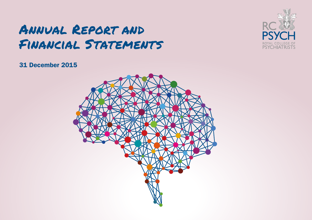# Annual Report and Financial Statements



## 31 December 2015

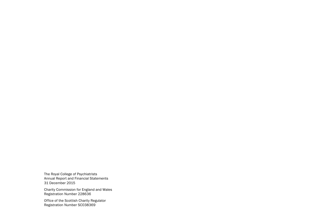The Royal College of Psychiatrists Annual Report and Financial Statements 31 December 2015

Charity Commission for England and Wales Registration Number 228636

Office of the Scottish Charity Regulator Registration Number SC038369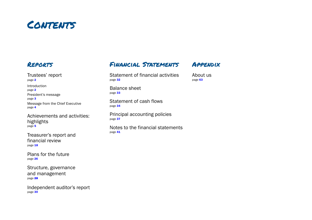

## Reports

[Trustees' report](#page-3-0)  [page](#page-3-0) 2 [Introduction](#page-3-0)  [page](#page-3-0) 2 [President's message](#page-4-0)  [page](#page-4-0) 3 [Message from the Chief Executive](#page-5-0)  [page](#page-5-0) 4

[Achievements and activities:](#page-6-0)  [highlights](#page-6-0)  [page](#page-6-0) 5

[Treasurer's report and](#page-19-0)  [financial review](#page-19-0) [page](#page-19-0) 18

[Plans for the future](#page-27-0)  [page](#page-27-0) 26

[Structure, governance](#page-29-0)  [and management](#page-29-0) [page](#page-29-0) 28

[Independent auditor's report](#page-31-0)  [page](#page-31-0) 30

## Financial Statements

[Statement of financial activities](#page-33-0) page 32

Appendix [About us](#page-64-0)

[page](#page-64-0) 63

[Balance sheet](#page-34-0)  [page](#page-34-0) 33

[Statement of cash flows](#page-35-0)  [page](#page-35-0) 34

[Principal accounting policies](#page-38-0)  [page](#page-38-0) 37

[Notes to the financial statements](#page-42-0) [page](#page-42-0) 41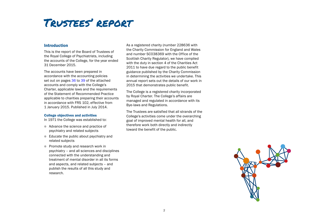# <span id="page-3-0"></span>Trustees' report

## Introduction

This is the report of the Board of Trustees of the Royal College of Psychiatrists, including the accounts of the College, for the year ended 31 December 2015.

The accounts have been prepared in accordance with the accounting policies set out on pages [36](#page-37-0) to [39](#page-40-0) of the attached accounts and comply with the College's Charter, applicable laws and the requirements of the Statement of Recommended Practice applicable to charities preparing their accounts in accordance with FRS 102, effective from 1 January 2015. Published in July 2014.

### College objectives and activities

In 1971 the College was established to:

- Advance the science and practice of psychiatry and related subjects
- $\bullet$  Educate the public about psychiatry and related subjects
- **Promote study and research work in** psychiatry – and all sciences and disciplines connected with the understanding and treatment of mental disorder in all its forms and aspects, and related subjects – and publish the results of all this study and research.

As a registered charity (number 228636 with the Charity Commission for England and Wales and number SC038369 with the Office of the Scottish Charity Regulator), we have complied with the duty in section 4 of the Charities Act 2011 to have due regard to the public benefit guidance published by the Charity Commission in determining the activities we undertake. This annual report sets out the details of our work in 2015 that demonstrates public benefit.

The College is a registered charity incorporated by Royal Charter. The College's affairs are managed and regulated in accordance with its Bye-laws and Regulations.

The Trustees are satisfied that all strands of the College's activities come under the overarching goal of improved mental health for all, and therefore work both directly and indirectly toward the benefit of the public.

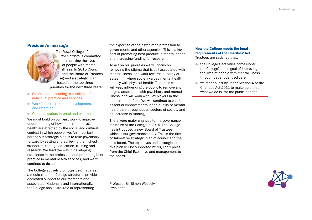## <span id="page-4-0"></span>President's message

The Royal College of Psychiatrists is committed to improving the lives of people with mental illness. In 2015 Council and the Board of Trustees agreed a strategic plan based on the top three priorities for the next three years:

- Set standards leading to excellence for individual practice and services
- **In Workforce: recruitment, development,** and retention
- **Communication: internal and external**

We must build on our past work to improve understanding of how mental and physical health are affected by the social and cultural context in which people live. An important part of our strategic plan is to take psychiatry forward by setting and achieving the highest standards, through education, training and research. We lead the way in developing excellence in the profession and promoting best practice in mental health services, and we will continue to do so.

The College actively promotes psychiatry as a medical career. College structures provide dedicated support to our members and associates. Nationally and internationally, the College has a vital role in representing

the expertise of the psychiatric profession to governments and other agencies. This is a key part of promoting best practice in mental health and increasing funding for research.

To act on our priorities we will focus on removing the stigma that is still associated with mental illness, and work towards a 'parity of esteem' – where society values mental health equally with physical health. To do this we will keep influencing the public to remove any stigma associated with psychiatry and mental illness, and will work with key players in the mental health field. We will continue to call for essential improvements in the quality of mental healthcare throughout all sectors of society and an increase in funding.

There were major changes to the governance structure of the College in 2014. The College has introduced a new Board of Trustees, which is our governance body. This is the first collaborative strategic plan of council and the new board. The objectives and strategies in this plan will be supported by regular reports from the Chief Executive and management to the board.

Professor Sir Simon Wessely President

## How the College meets the legal requirements of the Charities' Act Trustees are satisfied that:

- $\bullet$  the College's activities come under the College's main goal of improving the lives of people with mental illness through patient-centred care
- $\bullet$  we meet our duty under Section 4 of the Charities Act 2011 to make sure that what we do is 'for the public benefit'

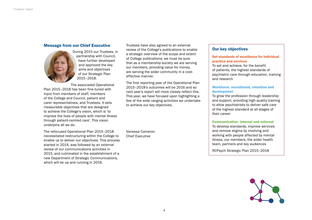## <span id="page-5-0"></span>Message from our Chief Executive



During 2015 our Trustees, in partnership with Council, have further developed and approved the key aims and objectives of our Strategic Plan 2015–2018.

The associated Operational Plan 2015–2018 has been fine-tuned with input from members of staff, members of the College and Council, patient and carer representatives, and Trustees. It sets measurable objectives that are designed to achieve the College's vision, which is 'to improve the lives of people with mental illness through patient-centred care'. This vision underpins all we do.

The refocused Operational Plan 2015–2018 necessitated restructuring within the College to enable us to deliver our objectives. This process started in 2014, was followed by an external review of our communications activities in 2015, and culminated in the establishment of a new Department of Strategic Communications, which will be up and running in 2016.

Trustees have also agreed to an external review of the College's publications to enable a strategic overview of the scope and extent of College publications; we must be sure that as a membership society we are serving our members, providing value for money, are serving the wider community in a costeffective manner.

The first reporting year of the Operational Plan 2015–2018's outcomes will be 2016 and so next year's report will more closely reflect this. This year, we have focused upon highlighting a few of the wide ranging activities we undertake to achieve our key objectives.

Vanessa Cameron Chief Executive

## Our key objectives

## Set standards of excellence for individual practice and services

To set and achieve, for the benefit of patients, the highest standards of psychiatric care through education, training and research

## Workforce: recruitment, retention and development

To grow the profession through leadership and support, providing high-quality training to allow psychiatrists to deliver safe care of the highest standard at all stages of their career

### Communication: internal and external

To develop standards, improve services and remove stigma by involving and working with people affected by mental illness, our members, the wider health team, partners and key audiences

RCPsych Strategic Plan 2015–2018

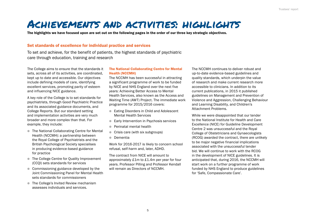# <span id="page-6-0"></span>Achievements and activities: highlights

The highlights we have focused upon are set out on the following pages in the order of our three key strategic objectives.

## Set standards of excellence for individual practice and services

To set and achieve, for the benefit of patients, the highest standards of psychiatric care through education, training and research

The College aims to ensure that the standards it sets, across all of its activities, are coordinated, kept up to date and accessible. Our objectives include defining models of care, identifying excellent services, promoting parity of esteem and influencing NICE guidance.

A key role of the College is to set standards for psychiatrists, through Good Psychiatric Practice and its associated guidance documents, and College Reports. But our standard setting and implementation activities are very much broader and more complex than that. For example, they include:

- The National Collaborating Centre for Mental Health (NCCMH): a partnership between the Royal College of Psychiatrists and the British Psychological Society specialises in producing evidence-based guidance for practice
- The College Centre for Quality Improvement (CCQI) sets standards for services
- $\bullet$  Commissioning guidance developed by the Joint Commissioning Panel for Mental Health sets standards for commissioners
- **■** The College's Invited Review mechanism assesses individuals and services.

## The National Collaborating Centre for Mental Health (NCCMH)

The NCCMH has been successful in attracting a significant programme of work to be funded by NICE and NHS England over the next five years: Achieving Better Access to Mental Health Services, also known as the Access and Waiting Time (AWT) Project. The immediate work programme for 2015/2016 covers:

- Eating Disorders in Child and Adolescent Mental Health Services
- Early Intervention in Psychosis services
- **•** Perinatal mental health
- Crisis care (with six subgroups)
- **Dementia**

Work for 2016-2017 is likely to concern school refusal, self-harm and, later, ADHD.

The contract from NICE will amount to approximately £1m to £1.4m per year for four years. Professor Pilling and Professor Kendall will remain as Directors of NCCMH.

The NCCMH continues to deliver robust and up-to-date evidence-based guidelines and quality standards, which underpin the value of research and make current research more accessible to clinicians. In addition to its current publications, in 2015 it published guidelines on Management and Prevention of Violence and Aggression, Challenging Behaviour and Learning Disability, and Children's Attachment Problems.

While we were disappointed that our tender to the National Institute for Health and Care Excellence (NICE) for Guideline Development Centre 2 was unsuccessful and the Royal College of Obstetricians and Gynaecologists (RCOG) awarded the contract, there are unlikely to be major negative financial implications associated with the unsuccessful tender bid. We will continue to work with the RCOG in the development of NICE guidelines. It is anticipated that, during 2016, the NCCMH will start work on a further programme of work funded by NHS England to produce guidelines for 'Safe, Compassionate Care'.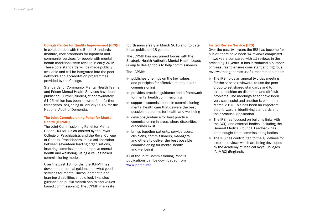### College Centre for Quality Improvement (CCQI)

In collaboration with the British Standards Institute, core standards for inpatient and community services for people with mental health conditions were revised in early 2015. These core standards will be made publicly available and will be integrated into the peernetworks and accreditation programmes provided by the College.

Standards for Community Mental Health Teams and Prison Mental Health Services have been published. Further, funding of approximately £1.25 million has been secured for a further three years, beginning in January 2015, for the National Audit of Dementia.

## The Joint Commissioning Panel for Mental Health (JCPMH)

The Joint Commissioning Panel for Mental Health (JCPMH) is co-chaired by the Royal College of Psychiatrists and the Royal College of General Practitioners. It is a collaboration between seventeen leading organisations, inspiring commissioners to improve mental health and wellbeing, using a values based commissioning model.

Over the past 18 months, the JCPMH has developed practical guidance on what good services for mental illness, dementia and learning disabilities should look like, plus guidance on public mental health and valuesbased commissioning. The JCPMH marks its

fourth anniversary in March 2015 and, to date, it has published 18 guides.

The JCPMH has now joined forces with the Strategic Health Authority Mental Health Leads Group to design tools to help commissioners.

The JCPMH:

- $\bullet$  publishes briefings on the key values and principles for effective mental health commissioning
- **provides practical guidance and a framework** for mental health commissioning
- $\bullet$  supports commissioners in commissioning mental health care that delivers the best possible outcomes for health and wellbeing
- $\bullet$  develops guidance for best practice commissioning in areas where disparities in outcomes exist
- $\bullet$  brings together patients, service users, clinicians, commissioners, managers and others to deliver the best possible commissioning for mental health and wellbeing

All of the Joint Commissioning Panel's publications can be downloaded from [www.jcpmh.info](http://www.jcpmh.info)

### Invited Review Service (IRS)

Over the past two years the IRS has become far busier: there have been 14 reviews completed in two years compared with 11 reviews in the preceding 11 years. It has introduced a number of measures to ensure consistent and rigorous reviews that generate useful recommendations:

- $\bullet$  The IRS holds an annual two-day meeting for the service reviewers, to use the peer group to set shared standards and to take a position on dilemmas and difficult problems. The meetings so far have been very successful and another is planned in March 2016. This has been an important step forward in identifying standards and their practical application.
- The IRS has focused on building links with the CCQI and external bodies, including the General Medical Council. Feedback has been sought from commissioning bodies
- The IRS has contributed to the guidelines for external reviews which are being developed by the Academy of Medical Royal Colleges (AoMRC) (England).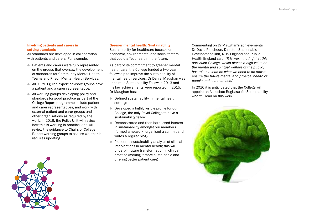### Involving patients and carers in setting standards

All standards are developed in collaboration with patients and carers. For example:

- Patients and carers were fully represented on the groups that oversaw the development of standards for Community Mental Health Teams and Prison Mental Health Services.
- All JCPMH guide expert advisory groups have a patient and a carer representative.
- $\bullet$  All working groups developing policy and standards for good practice as part of the College Report programme include patient and carer representatives, and work with external patient and carer groups and other organisations as required by the work. In 2016, the Policy Unit will review how this is working in practice, and will review the guidance to Chairs of College Report working groups to assess whether it requires updating.

## Greener mental health: Sustainability

Sustainability for healthcare focuses on economic, environmental and social factors that could affect health in the future.

As part of its commitment to greener mental health care, the College funded a two-year fellowship to improve the sustainability of mental health services. Dr Daniel Maughan was appointed Sustainability Fellow in 2013 and his key achievements were reported in 2015. Dr Maughan has:

- **•** Defined sustainability in mental health settings
- **•** Developed a highly visible profile for our College, the only Royal College to have a sustainability fellow
- **Demonstrated and then harnessed interest** in sustainability amongst our members (formed a network, organised a summit and writes a regular blog)
- $\bullet$  Pioneered sustainability analysis of clinical interventions in mental health; this will underpin future transformation in clinical practice (making it more sustainable and offering better patient care)

Commenting on Dr Maughan's achievements Dr David Pencheon, Director, Sustainable Development Unit, NHS England and Public Health England said: *"It is worth noting that this particular College, which places a high value on the mental and spiritual welfare of the public, has taken a lead on what we need to do now to ensure the future mental and physical health of people and communities."*

In 2016 it is anticipated that the College will appoint an Associate Registrar for Sustainability who will lead on this work.



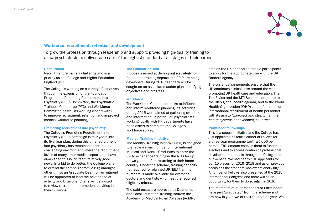

## Workforce: recruitment, retention and development

To grow the profession through leadership and support, providing high-quality training to allow psychiatrists to deliver safe care of the highest standard at all stages of their career

### **Recruitment**

Recruitment remains a challenge and is a priority for the College and Higher Education England (HEE).

The College is working on a variety of initiatives through the expansion of the Foundation Programme, Promoting Recruitment into Psychiatry (PRIP) Committee, the Psychiatric Trainees' Committee (PTC) and Workforce Committee as well as working closely with HEE to improve recruitment, retention and improved medical workforce planning.

### Promoting recruitment into psychiatry

The College's Promoting Recruitment into Psychiatry (PRIP) campaign is four years into its five year plan; during this time recruitment into psychiatry has remained constant. In a challenging environment where the recruitment levels of many other medical specialties have diminished this is, of itself, relatively good news. In a bid to do better, the College plans to extend the campaign from 2016; amongst other things an Associate Dean for recruitment will be appointed to lead the next phase of activity and Divisional Chairs will be invited to review recruitment promotion activities in their Divisions.

### The Foundation Year

Proposals aimed at developing a strategy for foundation training separate to PRIP are being developed. During 2016 feedback will be sought on an associated action plan identifying objectives and progress.

### **Workforce**

The Workforce Committee seeks to influence and inform workforce planning; its activities during 2015 were aimed at gathering evidence and information. In particular, psychiatrists working locally with HR departments have been asked to complete the College's workforce survey.

### Medical Training Initiative

The Medical Training Initiative (MTI) is designed to enable a small number of International Medical and Dental Graduates to enter the UK to experience training in the NHS for up to two years before returning to their home country. Under the scheme, training capacity not required for planned UK/EEA training numbers is made available for overseas doctors and dentists who meet the required eligibility criteria.

The paid posts are approved by Deaneries and Local Education Training Boards; the Academy of Medical Royal Colleges (AoMRC) acts as the UK sponsor to enable participants to apply for the appropriate visa with the UK Borders Agency.

The current arrangements ensure that the UK continues clinical links around the world, promoting UK healthcare and education. The Tier 5 visa and the MTI Scheme contribute to the UK's global health agenda, and to the World Health Organization (WHO) code of practice on international recruitment of health personnel with its aim to *"...protect and strengthen the health systems of developing countries."*

### Pathfinder fellowships

This is a popular initiative and the College has just appointed its fourth cohort of Fellows for a three-year programme worth £5,000 per person. This amount enables them to fund their electives and to access continuing professional development materials through the College and our website. We had nearly 100 applicants for our 10 places for 2016–2019 and as on previous occasions the standard was exceptionally high. A number of Fellows also presented at the 2015 International Congress and there will be an opportunity for them to do so again in 2016.

The members of our first cohort of Pathfinders have just "graduated" from the scheme and are now in year two of their foundation year. We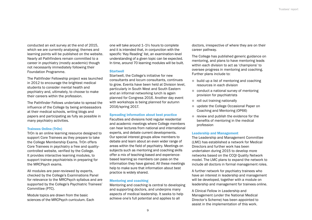conducted an exit survey at the end of 2015, which we are currently analysing; themes and learning points will be published on the website. Nearly all Pathfinders remain committed to a career in psychiatry (mostly academic) though not necessarily immediately following their Foundation Programme.

The Pathfinder Fellowship project was launched in 2012 to encourage the brightest medical students to consider mental health and psychiatry and, ultimately, to choose to make their careers within the profession.

The Pathfinder Fellows undertake to spread the influence of the College by being ambassadors at their medical schools, writing blogs and papers and participating as fully as possible in many psychiatry activities.

### Trainees Online (TrOn)

TrOn is an online learning resource designed to support Core Trainees as they prepare to take the College Membership Exams. TrOn offers Core Trainees in psychiatry a free and qualitycontrolled website, verified by the College. It provides interactive learning modules, to support trainee psychiatrists in preparing for the MRCPsych exams.

All modules are peer-reviewed by experts, checked by the College's Examinations Panel for relevance to the MRCPsych syllabus and are supported by the College's Psychiatric Trainees' Committee (PTC).

Module topics are drawn from the basic sciences of the MRCPsych curriculum. Each one will take around 1–1½ hours to complete and it is intended that, in conjunction with the specific 'Key Reading' list, an examination-level understanding of a given topic can be expected. In time, around 70 learning modules will be built.

#### **Startwell**

Startwell, the College's initiative for new consultants and locum consultants, continues to grow. Events have been held at Division level, particularly in South West and South Eastern and an informal networking lunch is again planned for Congress 2016. Another day event with workshops is being planned for autumn 2016/spring 2017.

### Spreading information about best practice

Faculties and divisions hold regular residential and academic meetings where College members can hear lectures from national and international experts, and debate current developments. Our special interest groups allow members to debate and learn about an even wider range of areas within the field of psychiatry. Meetings on subjects such as mentoring and coaching skills offer a mix of teaching-based and experiencebased learning so members can pass on the information they have gained. All these meetings help to make sure that information about best practice is widely shared.

#### Mentoring and coaching

Mentoring and coaching is central to developing and supporting doctors, and underpins many aspects of medical leadership. It seeks to help achieve one's full potential and applies to all

doctors, irrespective of where they are on their career pathway.

The College has published generic guidance on mentoring, and plans to have mentoring leads within each division to act as 'champions' to oversee progress in mentoring and coaching. Further plans include to:

- $\bullet$  build up a list of mentoring and coaching resources in each division
- $\bullet$  conduct a national survey of mentoring provision for psychiatrists
- $\bullet$  roll out training nationally
- **update the College Occasional Paper on** Coaching and Mentoring (OP66)
- $\bullet$  review and publish the evidence for the benefits of mentoring in the medical profession

### Leadership and Management

The Leadership and Management Committee (LMC) has established a network for Medical Directors and further work has been undertaken during 2015 to develop more networks based on the CCQI Quality Network model. The LMC plans to expand the network to include all doctors in formal management roles.

A further network for psychiatry trainees who have an interest in leadership and management will be developed, together with a module on leadership and management for trainees online.

A Clinical Fellow in Leadership and Management (under the National Medical Director's Scheme) has been appointed to assist in the implementation of this work.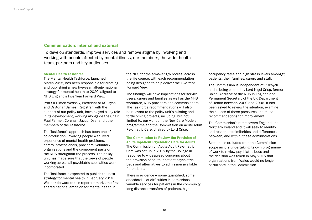## Communication: internal and external

To develop standards, improve services and remove stigma by involving and working with people affected by mental illness, our members, the wider health team, partners and key audiences

### Mental Health Taskforce

The Mental Health Taskforce, launched in March 2015, has been responsible for creating and publishing a new five-year, all-age national strategy for mental health to 2020, aligned to NHS England's Five Year Forward View.

Prof Sir Simon Wessely, President of RCPsych and Dr Adrian James, Registrar, with the support of our policy unit, have played a key role in its development, working alongside the Chair, Paul Farmer, Co-chair, Jacqui Dyer and other members of the Taskforce.

The Taskforce's approach has been one of co-production, involving people with lived experience of mental health problems, carers, professionals, providers, voluntary organisations and the component parts of the NHS throughout the process. The policy unit has made sure that the views of people working across all psychiatric specialties were incorporated.

The Taskforce is expected to publish the next strategy for mental health in February 2016. We look forward to this report; it marks the first shared national ambition for mental health in

the NHS for the arms-length bodies, across the life course, with each recommendation being designed to help deliver the Five Year Forward View.

The findings will have implications for service users, carers and families as well as the NHS workforce, NHS providers and commissioners. The Taskforce recommendations will also be relevant to the policy unit's existing and forthcoming projects, including, but not limited to, our work on the New Care Models programme and the Commission on Acute Adult Psychiatric Care, chaired by Lord Crisp.

## The Commission to Review the Provision of Acute Inpatient Psychiatric Care for Adults

The Commission on Acute Adult Psychiatric Care was set up in 2015 by the College in response to widespread concerns about the provision of acute inpatient psychiatric beds and alternatives to admission available for patients.

There is evidence – some quantified, some anecdotal – of difficulties in admissions, variable services for patients in the community, long distance transfers of patients, high

occupancy rates and high stress levels amongst patients, their families, carers and staff.

The Commission is independent of RCPsych and is being chaired by Lord Nigel Crisp, former Chief Executive of the NHS in England and Permanent Secretary of the UK Department of Health between 2000 and 2006. It has been asked to review the situation, examine the causes of these pressures and make recommendations for improvement.

The Commission's remit covers England and Northern Ireland and it will seek to identify and respond to similarities and differences between, and within, these administrations.

Scotland is excluded from the Commission scope as it is undertaking its own programme of work to review psychiatric beds and the decision was taken in May 2015 that organisations from Wales would no longer participate in the Commission.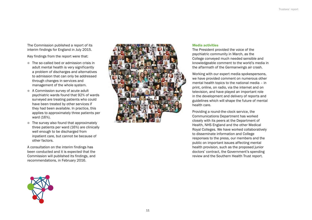The Commission published a report of its interim findings for England in July 2015.

Key findings from the report were that:

- The so-called bed or admission crisis in adult mental health is very significantly a problem of discharges and alternatives to admission that can only be addressed through changes in services and management of the whole system.
- A Commission survey of acute adult psychiatric wards found that 92% of wards surveyed are treating patients who could have been treated by other services if they had been available. In practice, this applies to approximately three patients per ward (16%).
- $\bullet$  The survey also found that approximately three patients per ward (16%) are clinically well enough to be discharged from inpatient care, but cannot be because of other factors.

A consultation on the interim findings has been conducted and it is expected that the Commission will published its findings, and recommendations, in February 2016.



### Media activities

The President provided the voice of the psychiatric community in March, as the College conveyed much needed sensible and knowledgeable comment to the world's media in the aftermath of the *Germanwings* air crash.

Working with our expert media spokespersons, we have provided comment on numerous other mental health topics to the national media – in print, online, on radio, via the internet and on television, and have played an important role in the development and delivery of reports and guidelines which will shape the future of mental health care.

Providing a round-the-clock service, the Communications Department has worked closely with its peers at the Department of Health, NHS England and the other Medical Royal Colleges. We have worked collaboratively to disseminate information and College responses to the press, our members and the public on important issues affecting mental health provision, such as the proposed junior doctors' contract, the Government's spending review and the Southern Health Trust report.

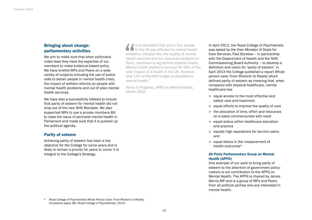## Bringing about change: parliamentary activities

We aim to make sure that when politicians make laws they have the expertise of our members to make evidence-based policy. We have briefed MPs and Peers on a wide variety of subjects including the use of police cells to detain people in mental health crisis, the impact of welfare reforms on people with mental health problems and out of area mental health services.

We have also a successfully lobbied to ensure that parity of esteem for mental health did not drop out of the new NHS Mandate. We also supported MPs to use a private members Bill to raise the issue of perinatal mental health in Parliament and made sure that it is pushed up the political agenda.

## Parity of esteem

Achieving parity of esteem has been a key objective for the College for some years and is likely to remain a priority for years to come; it is integral to the College's Strategy.

 $\blacksquare$  It is estimated that one in four people in the UK are affected by mental health problems. Despite this, the quality of mental health services and the resources available to them, continues to lag behind physical health. Mental health problems account for 23% of the total impact of ill health in the UK. However, only 13% of the NHS budget is allocated to mental health."

Parity in Progress, APPG on Mental Health, March 2015

In April 2012, the Royal College of Psychiatrists was asked by the then Minister of State for Care Services, Paul Burstow – in partnership with the Department of Health and the NHS Commissioning Board Authority – to develop a definition and vision for 'parity of esteem'. In April 2013 the College published a report *Whole person care: From Rhetoric to Reality* which defined parity of esteem as meaning that, when compared with physical healthcare, mental healthcare has

- $\bullet$  equal access to the most effective and safest care and treatment
- $\bullet$  equal efforts to improve the quality of care
- $\bullet$  the allocation of time, effort and resources on a basis commensurate with need
- $\bullet$  equal status within healthcare education and practice
- $\bullet$  equally high aspirations for service users; and
- $\bullet$  equal status in the measurement of health outcomes\*

## All Party Parliamentary Group on Mental Health (APPG)

One example of our work to bring parity of esteem to the attention of government policymakers is our contribution to the APPG on Mental Health. The APPG is chaired by James Morris MP and is a group of MPs and Peers from all political parties who are interested in mental health.

\* Royal College of Psychiatrists Whole Person Care: From Rhetoric to Reality. Occasional paper 88, (Royal College of Psychiatrists, 2013)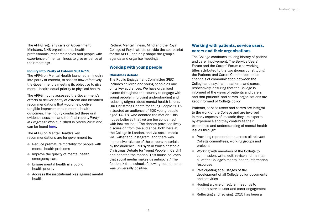The APPG regularly calls on Government Ministers, NHS organisations, health professionals, research bodies and people with experience of mental illness to give evidence at their meetings.

### Inquiry into Parity of Esteem 2014/15

The APPG on Mental Health launched an inquiry into parity of esteem, to assess how effectively the Government is meeting its objective to give mental health equal priority to physical health.

The APPG inquiry assessed the Government's efforts to deliver parity of esteem and identified recommendations that would help deliver tangible improvements in mental health outcomes. The inquiry conducted three oral evidence sessions and the final report, *Parity in Progress?* Was published in March 2015 and can be found [here](http://www.rcpsych.ac.uk/pdf/APPG on Mental Health- Parity in Progress.pdf).

The APPG on Mental Health's key recommendations are for government to:

- $\bullet$  Reduce premature mortality for people with mental health problems
- $\blacksquare$  Improve the quality of mental health emergency care
- $\bullet$  Ensure mental health is a public health priority
- $\bullet$  Address the institutional bias against mental health

Rethink Mental Illness, Mind and the Royal College of Psychiatrists provide the secretariat for the APPG, and help shape the group's agenda and organise meetings.

## Working with young people

### Christmas debate

The Public Engagement Committee (PEC) includes children and young people as one of its key audiences. We have organised events throughout the country to engage with young people, improving understanding and reducing stigma about mental health issues. Our Christmas Debate for Young People 2015 attracted an audience of 600 young people aged 14–18, who debated the motion 'This house believes that we are too concerned with how we look'. The debate provoked lively discussion from the audience, both here at the College in London, and via social media via Twitter and Instagram, and there was impressive take-up of the careers materials by the audience. RCPsych in Wales hosted a Christmas Debate for Young People in Cardiff and debated the motion 'This house believes that social media makes us antisocial.' The feedback from schools following both debates was universally positive.

## Working with patients, service users, carers and their organisations

The College continues its long history of patient and carer involvement. The Service Users' Forum and the Carers' Forum (the working titles attributed to the two groups constituting the Patients and Carers Committee) act as channels of communication between the College and psychiatric patients and carers respectively, ensuring that the College is informed of the views of patients and carers and that patients' and carers' organisations are kept informed of College policy.

Patients, service users and carers are integral to the work of the College and are involved in many aspects of its work; they are experts by experience and they contribute their experience and understanding of mental health issues through:

- **Providing representation across all relevant** College committees, working groups and projects
- **Working with members of the College to** commission, write, edit, revise and maintain all of the College's mental health information resources
- Participating at all stages of the development of all College policy documents and activities
- **In Hosting a cycle of regular meetings to** support service user and carer engagement
- Reflecting and revising: 2015 has been a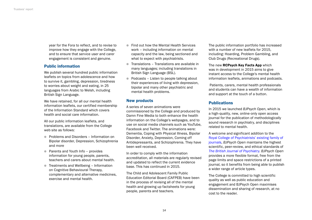year for the Fora to reflect, and to revise to improve how they engage with the College, and to ensure that service user and carer engagement is consistent and genuine.

## Public information

We publish several hundred public information leaflets on topics from adolescence and how to survive it, gambling, depression, tiredness to worries about weight and eating, in 25 languages from Arabic to Welsh, including British Sign Language.

We have retained, for all our mental health information leaflets, our certified membership of the Information Standard which covers health and social care information.

All our public information leaflets, and translations, are available from the College web site as follows:

- **Problems and Disorders Information on** Bipolar disorder, Depression, Schizophrenia and more
- Parents and Youth Info provides information for young people, parents, teachers and carers about mental health.
- **•** Treatments and Wellbeing Information on Cognitive Behavioural Therapy, complementary and alternative medicines, exercise and mental health.
- Find out how the Mental Health Services work – including information on mental capacity and the law, being sectioned and what to expect with psychiatrists.
- $\blacksquare$  Translations Translations are available in many languages; including translations in British Sign Language (BSL).
- $\bullet$  Podcasts Listen to people talking about their experiences of living with depression, bipolar and many other psychiatric and mental health problems.

## New products

A series of seven animations were commissioned by the College and produced by Damn Fine Media to both enhance the health information on the College's webpages, and to use on social media channels such as YouTube, Facebook and Twitter. The animations were: Dementia, Coping with Physical Illness, Bipolar Disorder, Anxiety, Depression, Coming off Antidepressants, and Schizophrenia. They have been well received.

In order to comply with the information accreditation, all materials are regularly revised and updated to reflect the current evidence base. This has continued in 2015.

The Child and Adolescent Family Public Education Editorial Board (CAFPEB) have been in the process of revising all of the mental health and growing up factsheets for young people, parents and teachers.

The public information portfolio has increased with a number of new leaflets for 2015, including: Hoarding, Problem Gambling, and Club Drugs (Recreational Drugs).

The new RCPsych Key Facts App which was in development in 2015 aims to give instant access to the College's mental health information leaflets, animations and podcasts.

 Patients, carers, mental health professionals and students can have a wealth of information and support at the touch of a button.

## **Publications**

In 2015 we launched *BJPsych Open*, which is a high-quality, new, online-only open access journal for the publication of methodologically sound research in psychiatry, and disciplines related to mental health.

A welcome and significant addition to the [Royal College of Psychiatrists' existing family of](http://www.rcpsych.ac.uk/usefulresources/publications/journals.aspx)  [journals](http://www.rcpsych.ac.uk/usefulresources/publications/journals.aspx), *BJPsych Open* maintains the highest scientific, peer-review, and ethical standards of *[The British Journal of Psychiatry](http://www.rcpsych.ac.uk/usefulresources/publications/journals/bjpsychinfo.aspx)*. *BJPsych Open* provides a more flexible format, free from the page limits and space restrictions of a printed journal, so it benefits from being able to publish a wider range of article types.

The College is committed to high scientific quality as well as public education and engagement and BJPsych Open maximises dissemination and sharing of research, at no cost to the reader.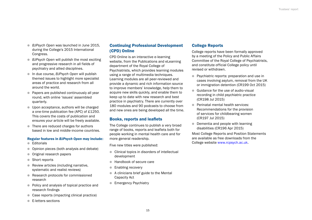- **BJPsych Open was launched in June 2015,** during the College's 2015 International Congress.
- **BJPsych Open will publish the most exciting** and progressive research in all fields of psychiatry and allied disciplines.
- **In due course,** *BJPsych Open* will publish themed issues to highlight more specialist areas of practice and research from all around the world.
- Papers are published continuously all year round, with online 'issues' assembled quarterly.
- **I** Upon acceptance, authors will be charged a one-time publication fee (APC) of £1250. This covers the costs of publication and ensures your article will be freely available.
- There are reduced charges for authors based in low and middle-income countries.

## Regular features in *BJPsych Open* may include:

- $\bullet$  Editorials
- Opinion pieces (both analysis and debate)
- **Original research papers**
- Short reports
- $\bullet$  Review articles (including narrative, systematic and realist reviews)
- Research protocols for commissioned research
- Policy and analysis of topical practice and research findings
- Case reports (impacting clinical practice)
- **E-letters sections**

## Continuing Professional Development (CPD) Online

CPD Online is an interactive e-learning website, from the Publications and eLearning department of the Royal College of Psychiatrists, which provides learning modules using a range of multimedia techniques. Learning modules are all peer-reviewed and provide a dynamic and rich information source to improve members' knowledge, help them to acquire new skills quickly, and enable them to keep up to date with new research and best practice in psychiatry. There are currently over 180 modules and 90 podcasts to choose from and new ones are being developed all the time.

## Books, reports and leaflets

The College continues to publish a very broad range of books, reports and leaflets both for people working in mental health care and for more general readership.

Five new titles were published:

- $\bullet$  Clinical topics in disorders of intellectual development
- Handbook of secure care
- Enabling recovery
- $\bullet$  A clinicians brief guide to the Mental Capacity Act
- **Emergency Psychiatry**

## College Reports

College reports have been formally approved by a meeting of the Policy and Public Affairs Committee of the Royal College of Psychiatrists, and constitute official College policy until revised or withdrawn.

- **Psychiatric reports: preparation and use in** cases involving asylum, removal from the UK or immigration detention (CR199 Oct 2015)
- **Guidance for the use of audio-visual** recording in child psychiatric practice (CR198 Jul 2015)
- Perinatal mental health services: Recommendations for the provision of services for childbearing women (CR197 Jul 2015)
- $\bullet$  Dementia and people with learning disabilities (CR196 Apr 2015)

Most College Reports and Position Statements are available as free downloads from the College website [www.rcpsych.ac.uk](http://www.rcpsych.ac.uk).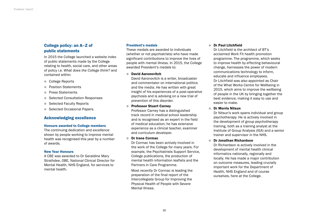## College policy: an A–Z of public statements

In 2015 the College launched a website index of public statements made by the College relating to health, social care, and other areas of policy i.e. *What does the College think?* and contained within:

- College Reports
- **Position Statements**
- **Press Statements**
- Selected Consultation Responses
- Selected Faculty Reports
- Selected Occasional Papers.

## Acknowledging excellence

### Honours awarded to College members

The continuing dedication and excellence shown by people working to improve mental health was recognised this year by a number of awards.

### New Year Honours

A CBE was awarded to Dr Geraldine Mary Strathdee, OBE, National Clinical Director for Mental Health, NHS England, for services to mental health.

### President's medals

These medals are awarded to individuals (whether or not psychiatrists) who have made significant contributions to improve the lives of people with mental illness. In 2015, the College awarded President's medals to:

### ● David Aaronovitch

David Aaronovitch is a writer, broadcaster and commentator on international politics and the media. He has written with great insight of his experiences of a post-operative psychosis and is advising on a new trial of prevention of this disorder.

### ● Professor Stuart Carney

Professor Carney has a distinguished track record in medical school leadership and is recognised as an expert in the field of medical education; he has extensive experience as a clinical teacher, examiner and curriculum developer.

### **• Dr Irene Cormac**

Dr Cormac has been actively involved in the work of the College for many years. For example, the Psychiatrists Support Service, College publications, the production of mental health information leaflets and the Partners in Care Programme.

Most recently Dr Cormac is leading the preparation of the final report of the Intercollegiate Group for Improving the Physical Health of People with Severe Mental Illness.

### ● Dr Paul Litchfield

Dr Litchfield is the architect of BT's acclaimed Work Fit health promotion programme. The programme, which seeks to improve health by effecting behavioural change, harnesses the power of modern communications technology to inform, educate and influence employees. Dr Litchfield was also appointed as Chair of the What Works Centre for Wellbeing in 2015, which aims to improve the wellbeing of people in the UK by bringing together the best evidence, making it easy to use and easier to make.

### **Co. Dr Morris Nitsun**

Dr Nitsun's work spans individual and group psychotherapy. He is actively involved in the development of group psychotherapy training, both as a training analyst at the Institute of Group Analysis (IGA) and a senior trainer and supervisor in the NHS.

### **• Dr Jonathan Richardson**

Dr Richardson is actively involved in the development of mental health clinical informatics nationally, regionally and locally. He has made a major contribution on outcome measures, leading crucially important work for the Department of Health, NHS England and of course ourselves, here at the College.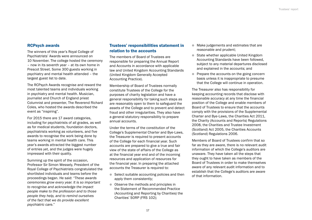## <span id="page-18-0"></span>RCPsych awards

The winners of this year's Royal College of Psychiatrists' Awards were announced on 10 November. The college hosted the ceremony – now in its seventh year – at its own home in Prescot Street. Some 300 guests working in psychiatry and mental health attended – the largest guest list to date.

The RCPsych Awards recognise and reward the most talented teams and individuals working in psychiatry and mental health. Musician, journalist and Church of England priest Columnist and presenter, The Reverend Richard Coles, who hosted the awards described the event as "inspiring".

For 2015 there are 17 award categories, including for psychiatrists of all grades, as well as for medical students, foundation doctors, psychiatrists working as volunteers, and five awards to recognise the work being done by teams working in mental health care. This year's awards attracted the biggest number of entries yet, and the judges were hugely impressed with their quality.

Summing up the spirit of the occasion, Professor Sir Simon Wessely, President of the Royal College of Psychiatrists congratulated the shortlisted individuals and teams before the proceedings began. He said: *"These awards ceremonies grow every year. It is so important to recognise and acknowledge the impact people make to the profession and to those people they help, and to remind ourselves of the fact that we do provide excellent psychiatric care."*

## Trustees' responsibilities statement in relation to the accounts

The members of Board of Trustees are responsible for preparing the Annual Report and Accounts in accordance with applicable law and United Kingdom Accounting Standards (United Kingdom Generally Accepted Accounting Practice).

Membership of Board of Trustees normally constitute Trustees of the College for the purposes of charity legislation and have a general responsibility for taking such steps as are reasonably open to them to safeguard the assets of the College and to prevent and detect fraud and other irregularities. They also have a general statutory responsibility to prepare annual accounts.

Under the terms of the constitution of the College's Supplemental Charter and Bye-Laws, the Treasurer is required to present accounts of the College for each financial year. Such accounts are prepared to give a true and fair view of the state of affairs of the College as at the financial year end and of the incoming resources and application of resources for the financial year. In preparing the attached accounts the Treasurer is required to:

- $\bullet$  Select suitable accounting policies and then apply them consistently;
- Observe the methods and principles in the Statement of Recommended Practice (Accounting and Reporting by Charities) the Charities' SORP (FRS 102);
- Make judgements and estimates that are reasonable and prudent;
- State whether applicable United Kingdom Accounting Standards have been followed, subject to any material departures disclosed and explained in the accounts; and
- **Prepare the accounts on the going concern** basis unless it is inappropriate to presume that the College will continue in operation.

The Treasurer also has responsibility for keeping accounting records that disclose with reasonable accuracy at any time the financial position of the College and enable members of Board of Trustees to ensure that the accounts comply with the provisions of the Supplemental Charter and Bye-Laws, the Charities Act 2011, the Charity (Accounts and Reports) Regulations 2008, the Charities and Trustee Investment (Scotland) Act 2005, the Charities Accounts (Scotland) Regulations 2006.

Members of Board of Trustees confirm that so far as they are aware, there is no relevant audit information of which the College's auditors are unaware. They have taken all the steps that they ought to have taken as members of the Board of Trustees in order to make themselves aware of any relevant audit information and to establish that the College's auditors are aware of that information.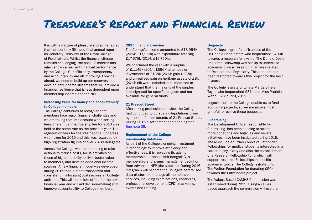# <span id="page-19-0"></span>Treasurer's Report and Financial Review

It is with a mixture of pleasure and some regret that I present my fifth and final annual report as Honorary Treasurer of the Royal College of Psychiatrists. Whilst the financial climate remains challenging, the past 12 months has again shown a resilient financial performance by the College. Our efficiency, transparency and accountability are all improving. Looking ahead, we need to build up our reserves and develop new income streams that will provide a financial resilience that is less dependent upon membership income and the NHS.

## Increasing value for money and accountability to College members

The College continues to recognise that members face major financial challenges and we are taking that into account when setting fees. The annual membership fee for 2016 was held at the same rate as the previous year. The registration fees for the International Congress was frozen for 2015 and this was rewarded by high registration figures of over 2,400 delegates.

Across the College, we are continuing to take actions to reduce costs, focus activities on those of highest priority, deliver better value to members, and develop additional income sources. A new financial model was developed during 2015 that is more transparent and consistent in allocating costs across all College activities. This will come into effect for the next financial year and will aid decision-making and improve accountability to College members.

## 2015 financial overview

The College's income amounted to £18,954k (2014: £17,173k) with expenditure totalling £17,675k (2014: £16,750k).

We concluded the year with a surplus of £1,149k (2014: £596k) after loss on investments of £138k (2014: gain £173k) and unrealised gain on heritage assets of £8k (2014: nil) were included. It is important to understand that the majority of the surplus is designated for specific projects and not available for general funds.

## 21 Prescot Street

After taking professional advice, the College had continued to pursue a dilapidations claim against the former tenants of 21 Prescot Street. During 2016 a settlement had been agreed. [See note 28.](#page-63-0)

## Replacement of the College membership database

As part of the College's ongoing investment in technology to improve efficiency and effectiveness, it is replacing its ageing membership database with IntegraNG, a membership and exams management solution from Advanced NFP (the supplier). During 2016 IntegraNG will become the College's centralised data platform to manage all membership services, including examinations, continuing professional development (CPD), marketing, events and training.

## **Bequests**

The College is grateful to Trustees of the Dr Donald Dean estate who bequeathed £400k towards a research fellowship. The Donald Dean Research Fellowship was set up to undertake academic clinical research in an area related to Occupational Psychiatry. This bequest has been restricted towards this project for the next 4 years.

The College is grateful to late Margery Helen Taylor who bequeathed £81k and Miss Patricia Webb £51k during 2015.

Legacies left to the College enable us to fund additional projects, so we are always most grateful to receive these bequests.

## Fundraising

The Development Office, responsible for fundraising, has been seeking to attract more donations and legacies and several initiatives have been instigated during 2015. These include a further cohort of Pathfinder Fellowships for medical students interested in a career in psychiatry and also the establishment of a Research Fellowship Fund which will support research Fellowships in specific academic topics. The College is grateful to The Welton Foundation for donating £50k towards the Pathfinders project.

The Values Based CAMHS Commission was established during 2015. Using a values based approach the commission will explore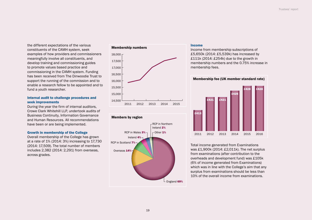the different expectations of the various constituents of the CAMH system, seek examples of how providers and commissioners meaningfully involve all constituents, and develop training and commissioning guides to promote values based practice and commissioning in the CAMH system. Funding has been received from The Dinwoodie Trust to support the running of the commission and to enable a research fellow to be appointed and to fund a youth researcher.

## Internal audit to challenge procedures and seek improvements

During the year the firm of internal auditors, Crowe Clark Whitehill LLP, undertook audits of Business Continuity, Information Governance and Human Resources. All recommendations have been or are being implemented.

### Growth in membership of the College

Overall membership of the College has grown at a rate of 1% (2014: 3%) increasing to 17,730 (2014: 17,509). The total number of members includes 2,382 (2014: 2,291) from overseas, across grades.

## Membership numbers **Income**





Income from membership subscriptions of £5,650k (2014: £5,539k) has increased by £111k (2014: £254k) due to the growth in membership numbers and the 0.75% increase in membership fees.





Total income generated from Examinations was £1,900k (2014: £2,011k). The net surplus from examinations (after contribution to the overheads and development fund) was £105k (6% of income generated from Examinations) which was in line with the College's aim that any surplus from examinations should be less than 10% of the overall income from examinations.

## 19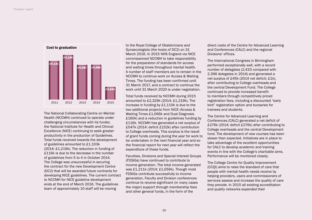

The National Collaborating Centre on Mental Health (NCCMH) continued to operate under challenging circumstances with its funder, the National Institute for Health and Clinical Excellence (NICE) continuing to seek greater productivity in the production of Guidelines. Total funds received towards the development of guidelines amounted to £1,103k (2014: £1,219k). The reduction in funding of £116k is due to the decrease in the number of guidelines from 5 to 4 in October 2014. The College was unsuccessful in securing the contract for the new Development Centre (DC2) that will be awarded future contracts for developing NICE guidelines. The current contract to NCCMH for NICE guideline development ends at the end of March 2016. The guidelines team of approximately 10 staff will be moving

to the Royal College of Obstetricians and Gynaecologists (the hosts of DC2) on 31 March 2016. In 2015 NHS England via NICE commissioned NCCMH to take responsibility for the preparation of standards for access and waiting times throughout mental health. A number of staff members are to remain in the NCCMH to continue work on Access & Waiting Times. The funding has been confirmed until 31 March 2017, and a contract to continue the work until 31 March 2020 is under negotiation.

Total funds received by NCCMH during 2015 amounted to £2,329k (2014: £1,219k). The increase in funding by £1,110k is due to the two additional projects from NICE (Access & Waiting Times £1,066k and Dual Diagnosis £160k) and a reduction in guidelines funding by £116k. NCCMH has generated a net surplus of £547k (2014: deficit £152k) after contribution to College overheads. This surplus is the result of grant funds coming during the year for work to be undertaken in the next financial year and so the financial report for next year will reflect the expenditure of these funds.

Faculties, Divisions and Special Interest Groups (FDSIGs) have continued to contribute to income generation. The total income generated was £1,211k (2014: £1,056k). Though most FDSIGs contribute successfully to income generation, Faculty and Division conferences continue to receive significant (in many cases the major) support through membership fees and other general funds, in the form of the

direct costs of the Centre for Advanced Learning and Conferences (CALC) and the regional Divisions' offices.

The International Congress in Birmingham performed exceptionally well, with a record number of delegates (2,433 compared with 2,396 delegates in 2014) and generated a net surplus of £45k (2014 net deficit: £1k), after contributing to College overheads and the central Development Fund. The College continued to provide increased benefit to members through competitively priced registration fees, including a discounted "early bird" registration option and bursaries for trainees and students.

The Centre for Advanced Learning and Conferences (CALC) generated a net deficit of £276k (2014: deficit £276k) after contributing to College overheads and the central Development fund. The development of new courses has been slower than expected. Initiatives are in place to take advantage of the excellent opportunities for CALC to develop academic and training events in line with the College's charitable aims. Performance will be monitored closely.

The College Centre for Quality Improvement (CCQI) aims to raise the standard of care that people with mental health needs receive by helping providers, users and commissioners of services assess and increase the quality of care they provide. In 2015 all existing accreditation and quality networks expanded their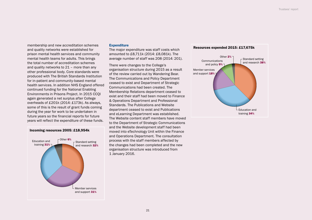membership and new accreditation schemes and quality networks were established for prison mental health services and community mental health teams for adults. This brings the total number of accreditation schemes and quality networks to 21 – more than any other professional body. Core standards were produced with The British Standards Institution for in-patient and community-based mental health services. In addition NHS England offered continued funding for the National Enabling Environments in Prisons Project. In 2015 CCQI again generated a net surplus after College overheads of £201k (2014: £173k). As always, some of this is the result of grant funds coming during the year for work to be undertaken in future years so the financial reports for future years will reflect the expenditure of these funds.

#### Incoming resources 2005: £18,954k



#### **Expenditure**

The major expenditure was staff costs which amounted to £8,711k (2014: £8,081k). The average number of staff was 208 (2014: 201).

There were changes to the College's organisation structure during 2015 as a result of the review carried out by Wandering Bear. The Communications and Policy Department ceased to exist and Department of Strategic Communications had been created. The Membership Relations department ceased to exist and their staff had been moved to Finance & Operations Department and Professional Standards. The Publications and Website department ceased to exist and Publications and eLearning Department was established. The Website content staff members have moved to the Department of Strategic Communications and the Website development staff had been moved into eTechnology Unit within the Finance and Operations Department. The consultation process with the staff members affected by the changes had been completed and the new organisation structure was introduced from 1 January 2016.

#### Resources expended 2015: £17,675k

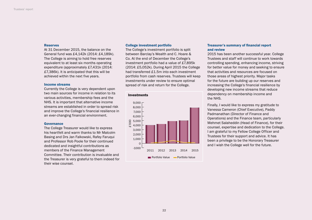### **Reserves**

At 31 December 2015, the balance on the General fund was £4,142k (2014: £4,189k). The College is aiming to hold free reserves equivalent to at least six months operating expenditure (approximately £7,431k (2014: £7,386k). It is anticipated that this will be achieved within the next five years.

### Income streams

Currently the College is very dependent upon two main sources for income in relation to its various activities, membership fees and the NHS. It is important that alternative income streams are established in order to spread risk and improve the College's financial resilience in an ever-changing financial environment.

### **Governance**

The College Treasurer would like to express his heartfelt and warm thanks to Mr Malcolm Basing and Drs Jan Falkowski, Rafey Faruqui and Professor Rob Poole for their continued dedicated and insightful contributions as members of the Finance Management Committee. Their contribution is invaluable and the Treasurer is very grateful to them indeed for their wise counsel.

### College investment portfolio

The College's investment portfolio is split between Barclay's Wealth and C. Hoare & Co. At the end of December the College's investment portfolio had a value of £7,895k (2014: £5,052k). During April 2015 the College had transferred £1.5m into each investment portfolio from cash reserves. Trustees will keep investments under review to ensure optimal spread of risk and return for the College.



### Treasurer's summary of financial report and review

2015 has been another successful year. College Trustees and staff will continue to work towards controlling spending, enhancing income, striving for better value for money and seeking to ensure that activities and resources are focused on those areas of highest priority. Major tasks for the future are building up our reserves and increasing the College's financial resilience by developing new income streams that reduce dependency on membership income and the NHS.

Finally, I would like to express my gratitude to Vanessa Cameron (Chief Executive), Paddy Padmanathan (Director of Finance and Operations) and the Finance team, particularly Mehmet Salaheddin (Head of Finance), for their counsel, expertise and dedication to the College. I am grateful to my Fellow College Officer and Trustees for their support and advice. It has been a privilege to be the Honorary Treasurer and I wish the College well for the future.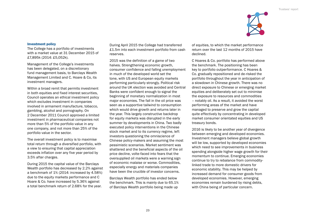

### Investment policy

The College has a portfolio of investments with a market value at 31 December 2015 of £7,895k (2014: £5,052k).

Management of the College's investments has been delegated, on a discretionary fund management basis, to Barclays Wealth Management Limited and C. Hoare & Co, its investment managers.

Within a broad remit that permits investment in both equities and fixed interest securities, Council operates an ethical investment policy which excludes investment in companies involved in armament manufacture, tobacco, gambling, alcohol and pornography. On 2 December 2011 Council approved a limited investment in pharmaceutical companies not more than 5% of the portfolio value in any one company, and not more than 25% of the portfolio value in the sector.

The overall investment policy is to maximise total return through a diversified portfolio, with a view to ensuring that capital appreciation exceeds inflation over any five year period by 3.5% after charges.

During 2015 the capital value of the Barclays Wealth portfolio has decreased by 2.2% against a benchmark of 1% (2014: increased by 4.58%) due to the equity markets performance and C Hoare & Co. have increased by 5.36% against a total benchmark return of 2.68% for the year.

During April 2015 the College had transferred £1.5m into each investment portfolio from cash reserves.

2015 was the definition of a game of two halves. Strengthening economic growth, consumer confidence and falling unemployment in much of the developed world set the tone, with US and European equity markets performing particularly strongly. Political risk around the UK election was avoided and Central Banks were confident enough to signal the beginning of monetary normalization in most major economies. The fall in the oil price was seen as a supportive tailwind to consumption which would drive growth and returns later in the year. This largely constructive backdrop for equity markets was disrupted in the early summer by developments in China. Two badly executed policy interventions in the Chinese stock market and to its currency regime, left investors questioning the omniscience of Chinese policy-makers and assuming the most pessimistic scenarios. Market sentiment was shattered and the beneficial aspects of the oil price decline, volte-faced into fears that the oversupplied oil markets were a warning sign of economic malaise or worse. Commodities, especially energy and materials companies have been the crucible of investor concerns.

Barclays Wealth portfolio has ended below the benchmark. This is mainly due to 65.1% of Barclays Wealth portfolio being made up

of equities, to which the market performance return over the last 12 months of 2015 have declined.

C Hoares & Co. portfolio has performed above the benchmark. The positioning has been key to portfolio outperformance. C Hoares & Co. gradually repositioned and de-risked the portfolio throughout the year in anticipation of a slowdown in Chinese growth. There was no direct exposure to Chinese or emerging market equities and deliberately set out to minimise the exposure to resources and commodities – notably oil. As a result, it avoided the worst performing areas of the market and have managed to preserve and grow the capital quite effectively by concentrating in developed market consumer orientated equities and US treasury bonds.

2016 is likely to be another year of divergence between emerging and developed economies. Investment managers believe global growth will be low, supported by developed economies which need to see improvements in business spending alongside higher wage growth for their momentum to continue. Emerging economies continue to try to rebalance from commoditylinked trade to more domestic drivers for economic stability. This may be helped by increased demand for consumer goods from developed economies. However, emerging economies remain burdened by rising debts, with China being of particular concern.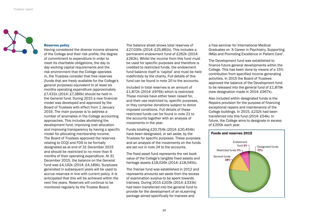

### Reserves policy

Having considered the diverse income streams of the College and their risk profile, the degree of commitment to expenditure in order to meet its charitable obligations, the day to day working capital requirements and the risk environment that the College operates in, the Trustees consider that free reserves (funds that are freely available for the College's general purposes) equivalent to at least six months operating expenditure (approximately £7,431k (2014: £7,386k) should be held in the General fund. During 2015 a new financial model was developed and approved by the Board of Trustees with effect from 1 January 2016. The main purpose is to address a number of anomalies in the College accounting approaches. This includes abolishing the development fund, improving cost allocation and improving transparency by having a specific model for allocating membership income. The Board of Trustees approved the reserves relating to CCQI and FDS to be formally designated as at end of 31 December 2015 and should be restricted to no more than 6 months of their operating expenditure. At 31 December 2015, the balance on the General fund was £4,142k (2014: £4,189k). Surpluses generated in subsequent years will be used to accrue reserves in line with current policy. It is anticipated that this will be achieved within the next five years. Reserves will continue to be monitored regularly by the Trustee Board.

The balance sheet shows total reserves of £27,030k (2014: £25,881k). This includes a permanent endowment fund of £262k (2014: £262k). Whilst the income from this fund must be used for specific purposes and therefore is credited to restricted funds, the endowment fund balance itself is 'capital' and must be held indefinitely by the charity. Full details of this fund can be found in note 20 to the accounts.

Included in total reserves is an amount of £1,872k (2014: £976k) which is restricted. These monies have either been raised for, and their use restricted to, specific purposes, or they comprise donations subject to donor imposed conditions. Full details of these restricted funds can be found in note 21 to the accounts together with an analysis of movements in the year.

Funds totalling £20,754k (2014: £20,454k) have been designated, or set aside, by the Trustees for specific purposes. These purposes and an analysis of the movements on the funds are set out in note 24 to the accounts.

The fixed asset fund represents the net book value of the College's tangible fixed assets and heritage assets £18,026k (2014: £18,045k).

The Trainee fund was established in 2012 and represents amounts set aside from the excess of examination surplus to be spent towards trainees. During 2015 £203k (2014: £333k) had been transferred into the general fund to provide for the development of an eLearning package aimed specifically for trainees and

a free seminar for International Medical Graduates on 'A Career in Psychiatry, Supporting IMGs and Promoting Excellence in Patient Care'.

The Development fund was established to finance future general developments within the College. This has been done by means of a 15% contribution from specified income generating activities. In 2015 the Board of Trustees approved the balance of the Development fund to be released into the general fund of £1,879k (new designation made in 2014: £967k).

Also included within designated funds is the Repairs provision for the purpose of financing exceptional repairs and maintenance of the College buildings. In 2015, £232k had been transferred into this fund (2014: £54k). In future, the College aims to designate in excess of £200k each year.

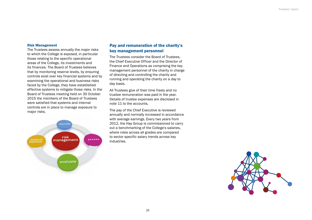### Risk Management

The Trustees assess annually the major risks to which the College is exposed, in particular those relating to the specific operational areas of the College, its investments and its finances. The Board of Trustees believes that by monitoring reserve levels, by ensuring controls exist over key financial systems and by examining the operational and business risks faced by the College, they have established effective systems to mitigate those risks. In the Board of Trustees meeting held on 30 October 2015 the members of the Board of Trustees were satisfied that systems and internal controls are in place to manage exposure to major risks.



## Pay and remuneration of the charity's key management personnel

The Trustees consider the Board of Trustees, the Chief Executive Officer and the Director of Finance and Operations as comprising the key management personnel of the charity in charge of directing and controlling the charity and running and operating the charity on a day to day basis.

All Trustees give of their time freely and no trustee remuneration was paid in the year. Details of trustee expenses are disclosed in note 11 to the accounts.

The pay of the Chief Executive is reviewed annually and normally increased in accordance with average earnings. Every two years from 2012, the Hay Group is commissioned to carry out a benchmarking of the College's salaries, where roles across all grades are compared to sector specific salary trends across key industries.

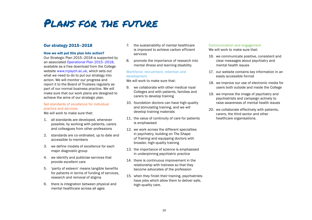# <span id="page-27-0"></span>Plans for the future

## Our strategy 2015–2018

## How we will put this plan into action?

Our Strategic Plan 2015–2018 is supported by an associated Operational Plan 2015–2018, available as a free download from the College website [www.rcpsych.ac.uk,](http://www.rcpsych.ac.uk) which sets out what we need to do to put our strategy into action. We will monitor our progress and report it to the Board of Trustees regularly as part of our normal business practice. We will make sure that our work plans are designed to achieve the aims of our strategic plan.

## Set standards of excellence for individual practice and services

We will work to make sure that:

- 1. all standards are developed, whenever possible, by working with patients, carers and colleagues from other professions
- 2. standards are co-ordinated, up to date and accessible to members
- 3. we define models of excellence for each major diagnostic group
- 4. we identify and publicise services that provide excellent care
- 5. 'parity of esteem' means tangible benefits for patients in terms of funding of services, research and removal of stigma
- 6. there is integration between physical and mental healthcare across all ages
- 7. the sustainability of mental healthcare is improved to achieve carbon efficient services
- 8. promote the importance of research into mental illness and learning disability.

## Workforce: recruitment, retention and development

We will work to make sure that:

- 9. we collaborate with other medical royal Colleges and with patients, families and carers to develop training
- 10. foundation doctors can have high-quality and stimulating training, and we will develop training materials
- 11. the value of continuity of care for patients is emphasised
- 12. we work across the different specialties in psychiatry, building on *The Shape of Training* and equipping doctors with broader, high-quality training
- 13. the importance of science is emphasised in underpinning psychiatric practice
- 14. there is continuous improvement in the relationship with trainees so that they become advocates of the profession
- 15. when they finish their training, psychiatrists have jobs which allow them to deliver safe, high-quality care.

## Communication and engagement

We will work to make sure that:

- 16. we communicate positive, consistent and clear messages about psychiatry and mental health issues
- 17. our website contains key information in an easily accessible format
- 18. we improve our use of electronic media for users both outside and inside the College
- 19. we improve the image of psychiatry and psychiatrists and campaign actively to raise awareness of mental health issues
- 20. we collaborate effectively with patients, carers, the third sector and other healthcare organisations.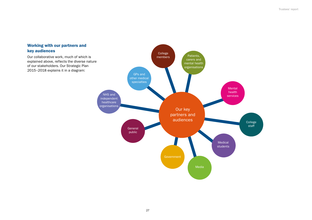## Working with our partners and key audiences

Our collaborative work, much of which is explained above, reflects the diverse nature of our stakeholders. Our Strategic Plan 2015–2018 explains it in a diagram:

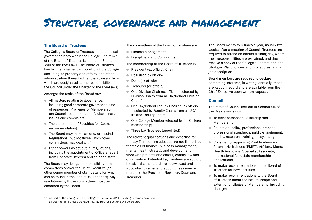## <span id="page-29-0"></span>Structure, governance and management

## The Board of Trustees

The College's Board of Trustees is the principal governance body within the College. The remit of the Board of Trustees is set out in Section XVIII of the Bye-Laws. The Board of Trustees has full management and control of the College (including its property and affairs) and of the administration thereof (other than those affairs which are designated as the responsibility of the Council under the Charter or the Bye-Laws).

Amongst the tasks of the Board are:

- All matters relating to governance, including good corporate governance, use of resources, Privileges of Membership (on Council recommendation), disciplinary issues and complaints
- The constitution of Faculties (on Council recommendation)
- **The Board may make, amend, or rescind** Regulations (but not those which other committees may deal with)
- **Other powers as set out in Regulations.** including the appointment of Officers (apart from Honorary Officers) and salaried staff

The Board may delegate responsibility to its committees and/or the Chief Executive (or other senior member of staff details for which can be found in the 'About Us' appendix). Any resolutions by those committees must be endorsed by the Board.

The committees of the Board of Trustees are:

- **Finance Management**
- **•** Disciplinary and Complaints

The membership of the Board of Trustees is:

- **President (ex officio), Chair**
- **Registrar (ex officio)**
- **Dean (ex officio)**
- **Treasurer (ex officio)**
- $\bullet$  One Division Chair (ex officio selected by Division Chairs from all UK/Ireland Division Chairs)
- One UK/Ireland Faculty Chair\*\* (ex officio – selected by Faculty Chairs from all UK/ Ireland Faculty Chairs)
- One College Member (elected by full College membership)
- **Three Lay Trustees (appointed)**

The relevant qualifications and expertise for the Lay Trustees include, but are not limited to, the fields of finance, business management, mental health strategy and development, work with patients and carers, charity law and organisation. Potential Lay Trustees are sought by advertisement and are interviewed and appointed by a panel that comprises (one or more of): the President, Registrar, Dean and **Treasurer.** 

The Board meets four times a year, usually two weeks after a meeting of Council. Trustees are required to attend an annual training day, where their responsibilities are explained, and they receive a copy of the College's Constitution and Strategic Plan, policies and procedures, and a job description.

Board members are required to declare competing interests, in writing, annually; these are kept on record and are available from the Chief Executive upon written request.

## Council

The remit of Council (set out in Section XIX of the Bye-Laws) is now

- $\bullet$  To elect persons to Fellowship and Membership
- Education, policy, professional practice, professional standards, public engagement, quality, research, training in psychiatry
- **Considering/approving Pre-Membership** Psychiatric Trainees (PMPT), Affiliate, Mental Health Associate, Specialist Associate, International Associate membership applications
- $\bullet$  To make recommendations to the Board of Trustees for new Faculties
- To make recommendations to the Board of Trustees about the nature, scope and extent of privileges of Membership, including changes

<sup>\*\*</sup> As part of the changes to the College structure in 2014, existing Sections have now all been re-constituted as Faculties. No further Sections will be created.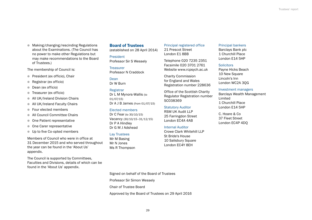● Making/changing/rescinding Regulations about the Examinations. (The Council has no power to make other Regulations but may make recommendations to the Board of Trustees.)

The membership of Council is:

- **•** President (ex officio), Chair
- Registrar (ex officio)
- **Dean (ex officio)**
- **Treasurer (ex officio)**
- **All UK/Ireland Division Chairs**
- All UK/Ireland Faculty Chairs
- Four elected members
- All Council Committee Chairs
- **One Patient representative**
- **One Carer representative**
- **ID Up to five Co-opted members**

Members of Council who were in office at 31 December 2015 and who served throughout the year can be found in the 'About Us' appendix.

The Council is supported by Committees, Faculties and Divisions, details of which can be found in the 'About Us' appendix.

## Board of Trustees

(established on 28 April 2014)

President Professor Sir S Wessely

**Treasurer** Professor N Craddock

Dean Dr W Burn

## Registrar

Dr L M Mynors-Wallis (to 01/07/15) Dr A J B James (from 01/07/15)

### Elected members

Dr C Fear (to 30/10/15) Vacancy (30/10/15–31/12/15) Dr P A Hindley Dr G M J Adshead

### Lay Trustees

Mr M Basing Mr N Jones Ms R Thompson

Principal registered office 21 Prescot Street London E1 8BB

Telephone 020 7235 2351 Facsimile 020 3701 2761 Website [www.rcpsych.ac.uk](http://www.rcpsych.ac.uk) 

Charity Commission for England and Wales Registration number 228636

Office of the Scottish Charity Regulator Registration number SC038369

## Statutory Auditor

RSM UK Audit LLP 25 Farringdon Street London EC4A 4AB

### Internal Auditor

Crowe Clark Whitehill LLP St Bride's House 10 Salisbury Square London EC4Y 8EH

Principal bankers Barclays Bank plc 1 Churchill Place London E14 5HP

### **Solicitors**

Payne Hicks Beach 10 New Square Lincoln's Inn London WC2A 3QG

#### Investment managers

Barclays Wealth Management Limited 1 Churchill Place London E14 5HP

C. Hoare & Co 37 Fleet Street London EC4P 4DQ

## Signed on behalf of the Board of Trustees

Professor Sir Simon Wessely

Chair of Trustee Board

Approved by the Board of Trustees on 29 April 2016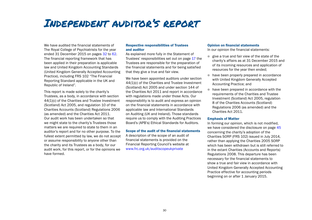# <span id="page-31-0"></span>Independent auditor's report

We have audited the financial statements of The Royal College of Psychiatrists for the year ended 31 December 2015 on pages [32](#page-33-0) to [62.](#page-63-1) The financial reporting framework that has been applied in their preparation is applicable law and United Kingdom Accounting Standards (United Kingdom Generally Accepted Accounting Practice), including FRS 102 "The Financial Reporting Standard applicable in the UK and Republic of Ireland".

This report is made solely to the charity's Trustees, as a body, in accordance with section 44(1)(c) of the Charities and Trustee Investment (Scotland) Act 2005, and regulation 10 of the Charities Accounts (Scotland) Regulations 2006 (as amended) and the Charities Act 2011. Our audit work has been undertaken so that we might state to the charity's Trustees those matters we are required to state to them in an auditor's report and for no other purpose. To the fullest extent permitted by law, we do not accept or assume responsibility to anyone other than the charity and its Trustees as a body, for our audit work, for this report, or for the opinions we have formed.

## Respective responsibilities of Trustees and auditor

As explained more fully in the Statement of Trustees' responsibilities set out on page [17](#page-18-0) the Trustees are responsible for the preparation of the financial statements and for being satisfied that they give a true and fair view.

We have been appointed auditors under section 44(1)(c) of the Charities and Trustee Investment (Scotland) Act 2005 and under section 144 of the Charities Act 2011 and report in accordance with regulations made under those Acts. Our responsibility is to audit and express an opinion on the financial statements in accordance with applicable law and International Standards on Auditing (UK and Ireland). Those standards require us to comply with the Auditing Practices Board's (APB's) Ethical Standards for Auditors.

### Scope of the audit of the financial statements

A description of the scope of an audit of financial statements is provided on the Financial Reporting Council's website at [www.frc.org.uk/auditscopeukprivate](http://www.frc.org.uk/auditscopeukprivate)

### Opinion on financial statements

In our opinion the financial statements:

- $\bullet$  give a true and fair view of the state of the charity's affairs as at 31 December 2015 and of its incoming resources and application of resources for the year then ended;
- $\bullet$  have been properly prepared in accordance with United Kingdom Generally Accepted Accounting Practice; and
- $\bullet$  have been prepared in accordance with the requirements of the Charities and Trustee Investment (Scotland) Act 2005, regulation 8 of the Charities Accounts (Scotland) Regulations 2006 (as amended) and the Charities Act 2011.

### Emphasis of Matter

In forming our opinion, which is not modified, we have considered the disclosure on page [45](#page-46-0) concerning the charity's adoption of the Charities SORP (FRS 102) issued in July 2014, rather than applying the Charities 2005 SORP which has been withdrawn but is still referred to in the extant Charities (Accounts and Reports) Regulations 2008. This departure has been necessary for the financial statements to show a true and fair view in accordance with United Kingdom Generally Accepted Accounting Practice effective for accounting periods beginning on or after 1 January 2015.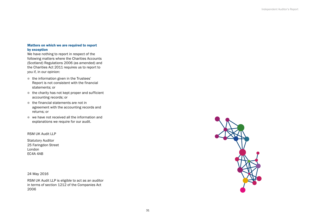## <span id="page-32-0"></span>Matters on which we are required to report by exception

We have nothing to report in respect of the following matters where the Charities Accounts (Scotland) Regulations 2006 (as amended) and the Charities Act 2011 requires us to report to you if, in our opinion:

- $\bullet$  the information given in the Trustees' Report is not consistent with the financial statements; or
- $\bullet$  the charity has not kept proper and sufficient accounting records; or
- $\bullet$  the financial statements are not in agreement with the accounting records and returns; or
- $\bullet$  we have not received all the information and explanations we require for our audit.

## RSM UK Audit LLP

Statutory Auditor 25 Faringdon Street London EC4A 4AB

24 May 2016

RSM UK Audit LLP is eligible to act as an auditor in terms of section 1212 of the Companies Act 2006

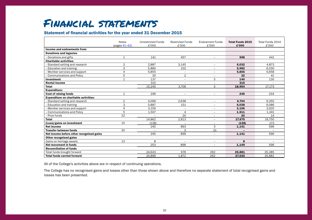# <span id="page-33-0"></span>Financial statements

## Statement of financial activities for the year ended 31 December 2015

|                                              | <b>Notes</b>   | <b>Unrestricted Funds</b> | <b>Restricted Funds</b> | <b>Endowment Funds</b>   | <b>Total Funds 2015</b> | Total Funds 2014 |
|----------------------------------------------|----------------|---------------------------|-------------------------|--------------------------|-------------------------|------------------|
|                                              | (pages 41-62)  | £'000                     | £'000                   | £'000                    | £'000                   | £'000            |
| Income and endowments from:                  |                |                           |                         |                          |                         |                  |
| <b>Donations and legacies</b>                |                |                           |                         |                          |                         |                  |
| - Donations and gifts                        | 1              | 141                       | 457                     | $\overline{\phantom{a}}$ | 598                     | 441              |
| <b>Charitable activities:</b>                |                |                           |                         |                          |                         |                  |
| - Standard setting and research              | $\overline{2}$ | 2.887                     | 3.145                   | $\overline{\phantom{a}}$ | 6.032                   | 4,873            |
| Education and training                       | 3              | 5.880                     | 102                     | $\overline{\phantom{a}}$ | 5.982                   | 6,030            |
| - Member services and support                | $\overline{4}$ | 5,855                     | Ξ.                      | $\overline{\phantom{m}}$ | 5.855                   | 5,658            |
| - Communications and Policy                  | 5              | 30                        | $\overline{2}$          |                          | 32                      | 41               |
| Investment                                   | $\mathbf{1}$   | 137                       | $\equiv$                | 3                        | 140                     | 130              |
| <b>Rental income</b>                         |                | 315                       | $\equiv$                | $\equiv$                 | 315                     |                  |
| <b>Total</b>                                 |                | 15,245                    | 3.706                   | 3                        | 18,954                  | 17,173           |
| <b>Expenditure:</b>                          |                |                           |                         |                          |                         |                  |
| <b>Cost of raising funds</b>                 | $\mathbf{1}$   | 246                       | $\equiv$                | $\overline{\phantom{m}}$ | 246                     | 234              |
| <b>Expenditure on charitable activities:</b> |                |                           |                         |                          |                         |                  |
| - Standard setting and research              | $\overline{2}$ | 4.066                     | 2.638                   | $\overline{\phantom{a}}$ | 6.704                   | 6.255            |
| - Education and training                     | 3              | 5,887                     | 151                     | $\overline{\phantom{a}}$ | 6,038                   | 6,086            |
| - Member services and support                | $\overline{4}$ | 3,156                     | $\qquad \qquad -$       | $\overline{\phantom{m}}$ | 3,156                   | 2,920            |
| - Communications and Policy                  | 5              | 1.507                     | 4                       | $\overline{\phantom{m}}$ | 1,511                   | 1.241            |
| - Prize funds                                | 22             |                           | 20                      | $\overline{\phantom{a}}$ | 20                      | 14               |
| <b>Total</b>                                 |                | 14,862                    | 2,813                   | $\equiv$                 | 17,675                  | 16,750           |
| (Loss)/gains on investment                   | 15             | (138)                     |                         | $\overline{\phantom{a}}$ | (138)                   | 173              |
| <b>Net income</b>                            |                | 245                       | 893                     | 3                        | 1,141                   | 596              |
| <b>Transfer between funds</b>                | 20             | $\overline{\phantom{a}}$  | 3                       | (3)                      |                         |                  |
| Net income before other recognised gains     |                | 245                       | 896                     | $\overline{\phantom{a}}$ | 1.141                   | 596              |
| Other recognised gains                       |                |                           |                         |                          |                         |                  |
| Gains on heritage assets                     | 13             | 8                         | $\equiv$                | $\equiv$                 | 8                       |                  |
| Net movement in funds                        |                | 253                       | 896                     |                          | 1,149                   | 596              |
| <b>Reconciliation of funds</b>               |                |                           |                         |                          |                         |                  |
| Total funds brought forward                  |                | 24.643                    | 976                     | 262                      | 25.881                  | 25,285           |
| <b>Total funds carried forward</b>           |                | 24.896                    | 1.872                   | 262                      | 27.030                  | 25.881           |

All of the College's activities above are in respect of continuing operations.

The College has no recognised gains and losses other than those shown above and therefore no separate statement of total recognised gains and losses has been presented.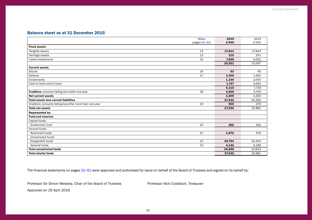## <span id="page-34-0"></span>Balance sheet as at 31 December 2015

|                                                         | <b>Notes</b>  | 2015   | 2014   |
|---------------------------------------------------------|---------------|--------|--------|
|                                                         | (pages 41-62) | £'000  | £'000  |
| <b>Fixed assets</b>                                     |               |        |        |
| Tangible assets                                         | 13            | 17,811 | 17.844 |
| Heritage assets                                         | 13            | 215    | 201    |
| Listed investments                                      | 15            | 7,895  | 5,052  |
|                                                         |               | 25,921 | 23,097 |
| <b>Current assets</b>                                   |               |        |        |
| <b>Stocks</b>                                           | 16            | 63     | 56     |
| Debtors                                                 | 17            | 3,305  | 1,620  |
| Investments                                             |               | 1,100  | 2,000  |
| Cash at bank and in hand                                |               | 1,747  | 4,063  |
|                                                         |               | 6,215  | 7.739  |
| <b>Creditors:</b> amounts falling due within one year   | 18            | 4,606  | 4,476  |
| <b>Net current assets</b>                               |               | 1,609  | 3,263  |
| <b>Total assets less current liabilities</b>            |               | 27,530 | 26,360 |
| Creditors: amounts falling due after more than one year | 19            | 500    | 479    |
| <b>Total net assets</b>                                 |               | 27,030 | 25,881 |
| Represented by:                                         |               |        |        |
| <b>Fund and reserves</b>                                |               |        |        |
| Capital funds                                           |               |        |        |
| Endowment fund                                          | 20            | 262    | 262    |
| Income funds                                            |               |        |        |
| <b>Restricted funds</b>                                 | 21            | 1,872  | 976    |
| Unrestricted funds                                      |               |        |        |
| Designated funds                                        | 23            | 20,754 | 20,454 |
| General funds                                           | 23            | 4,142  | 4,189  |
| <b>Total unrestricted funds</b>                         |               | 24,896 | 24,643 |
| <b>Total charity funds</b>                              |               | 27.030 | 25,881 |

The financial statements on pages [31](#page-32-0)-[61](#page-62-0) were approved and authorised for issue on behalf of the Board of Trustees and signed on its behalf by:

Professor Sir Simon Wessely, Chair of the Board of Trustees Professor Nick Craddock, Treasurer

Approved on 29 April 2016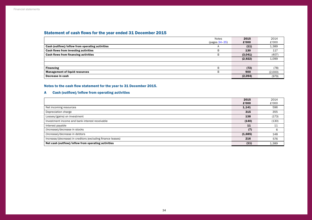## <span id="page-35-0"></span>Statement of cash flows for the year ended 31 December 2015

|                                                 | <b>Notes</b>    | 2015    | 2014    |
|-------------------------------------------------|-----------------|---------|---------|
|                                                 | $(pages 34-35)$ | £'000   | £'000   |
| Cash (outflow)/inflow from operating activities |                 | (11)    | 1,389   |
| Cash flows from investing activities            | B               | 130     | 117     |
| Cash flows from financing activities            | B               | (3,041) | (407)   |
|                                                 |                 | (2,922) | 1,099   |
|                                                 |                 |         |         |
| <b>Financing</b>                                | B               | (72)    | (78)    |
| <b>Management of liquid resources</b>           | B               | 900     | (2,000) |
| Decrease in cash                                |                 | (2,094) | (979)   |

## Notes to the cash flow statement for the year to 31 December 2015.

## A Cash (outflow)/inflow from operating activities

|                                                             | 2015    | 2014  |
|-------------------------------------------------------------|---------|-------|
|                                                             | £'000   | £'000 |
| Net incoming resources                                      | 1,141   | 596   |
| Depreciation charge                                         | 315     | 355   |
| Losses/(gains) on investment                                | 138     | (173) |
| Investment income and bank interest receivable              | (140)   | (130) |
| Interest payable                                            | 11      | 11    |
| (Increase)/decrease in stocks                               | (7)     | 6     |
| (Increase)/decrease in debtors                              | (1,685) | 148   |
| Increase/(decrease) in creditors (excluding finance leases) | 216     | 576   |
| Net cash (outflow)/inflow from operating activities         | (11)    | 1,389 |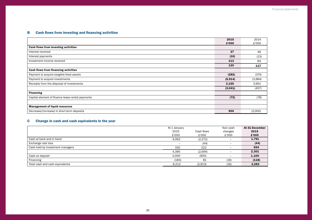## <span id="page-36-0"></span>B Cash flows from investing and financing activities

|                                                  | 2015     | 2014    |
|--------------------------------------------------|----------|---------|
|                                                  | £'000    | £'000   |
| Cash flows from investing activities             |          |         |
| Interest received                                | 27       | 46      |
| Interest payments                                | (10)     | (13)    |
| Investment income received                       | 113      | 84      |
|                                                  | 130      | 117     |
| <b>Cash flows from financing activities</b>      |          |         |
| Payment to acquire tangible fixed assets         | (282)    | (374)   |
| Payment to acquire investments                   | (5, 914) | (3,984) |
| Receipts from the disposal of investments        | 3,155    | 3,951   |
|                                                  | (3,041)  | (407)   |
| <b>Financing</b>                                 |          |         |
| Capital element of finance lease rental payments | (72)     | (78)    |
|                                                  |          |         |
| <b>Management of liquid resources</b>            |          |         |
| Decrease/(increase) in short-term deposits       | 900      | (2,000) |

## C Change in cash and cash equivalents in the year

|                                  | At 1 January |            | Non cash                 | At 31 December |
|----------------------------------|--------------|------------|--------------------------|----------------|
|                                  | 2015         | Cash flows | changes                  | 2015           |
|                                  | £'000        | £'000      | £'000                    | £'000          |
| Cash at bank and in hand         | 4,063        | (2, 272)   |                          | 1,791          |
| Exchange rate loss               |              | (44)       |                          | (44)           |
| Cash held by investment managers | 332          | 222        | $\overline{\phantom{0}}$ | 554            |
|                                  | 4,395        | (2,094)    | -                        | 2,301          |
| Cash on deposit                  | 2,000        | (900)      | -                        | 1,100          |
| Financing                        | (183)        | 81         | (16)                     | (118)          |
| Total cash and cash equivalents  | 6,212        | (2,913)    | (16)                     | 3,283          |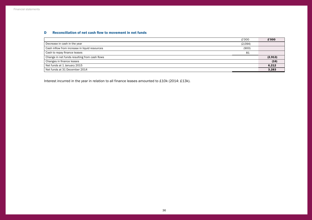## <span id="page-37-0"></span>D Reconciliation of net cash flow to movement in net funds

| £'000                                                  | £'000   |
|--------------------------------------------------------|---------|
| Decrease in cash in the year<br>(2,094)                |         |
| Cash inflow from increase in liquid resources<br>(900) |         |
| 81<br>Cash to repay finance leases                     |         |
| Change in net funds resulting from cash flows          | (2,913) |
| Changes in finance leases                              | (16)    |
| Net funds at 1 January 2015                            | 6,212   |
| Net funds at 31 December 2014                          | 3,283   |

Interest incurred in the year in relation to all finance leases amounted to £10k (2014: £13k).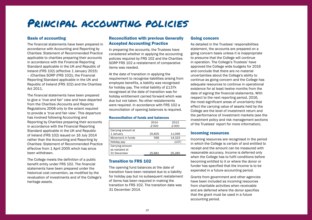## <span id="page-38-0"></span>Principal accounting policies

## Basis of accounting

The financial statements have been prepared in accordance with Accounting and Reporting by Charities: Statement of Recommended Practice applicable to charities preparing their accounts in accordance with the Financial Reporting Standard applicable in the UK and Republic of Ireland (FRS 102) (effective 1 January 2015) – (Charities SORP (FRS 102)), the Financial Reporting Standard applicable in the UK and Republic of Ireland (FRS 102) and the Charities Act 2011.

The financial statements have been prepared to give a 'true and fair' view and have departed from the Charities (Accounts and Reports) Regulations 2008 only to the extent required to provide a 'true and fair view'. This departure has involved following Accounting and Reporting by Charities preparing their accounts in accordance with the Financial Reporting Standard applicable in the UK and Republic of Ireland (FRS 102) issued on 16 July 2014 rather than the Accounting and Reporting by Charities: Statement of Recommended Practice effective from 1 April 2005 which has since been withdrawn.

The College meets the definition of a public benefit entity under FRS 102. The financial statements have been prepared under the historical cost convention, as modified by the revaluation of investments and of the College's heritage assets.

## Reconciliation with previous Generally Accepted Accounting Practice

In preparing the accounts, the Trustees have considered whether in applying the accounting policies required by FRS 102 and the Charities SORP FRS 102 a restatement of comparative items was needed.

At the date of transition in applying the requirement to recognise liabilities arising from employee benefits, a liability was recognised for holiday pay. The initial liability of £137k recognised at the date of transition was for holiday entitlement carried forward which was due but not taken. No other restatements were required. In accordance with FRS 102 a reconciliation of opening balances is required.

## Reconciliation of funds and balances

|                    | 2014   | 2013   |
|--------------------|--------|--------|
|                    | £'000  | £'000  |
| Carrying amount at |        |        |
| 1 January          | 25,825 | 11,099 |
| Movement in funds  | 596    | 14,323 |
| Holiday pay        |        | (137)  |
| Carrying amount    |        |        |
| as restated at     |        |        |
| 31 December        | 25.881 | 25.285 |
|                    |        |        |

## Transition to FRS 102

The opening fund balances at the date of transition have been restated due to a liability for holiday pay but no subsequent restatement of items has been required in making the transition to FRS 102. The transition date was 31 December 2014.

## Going concern

As detailed in the Trustees' responsibilities statement, the accounts are prepared on a going concern basis unless it is inappropriate to presume that the College will continue in operation. The College's Trustees' have approved the College wide budgets for 2016 and conclude that there are no material uncertainties about the College's ability to continue as going concern and the College has adequate resources to continue in operational existence for at least twelve months from the date of signing the financial statements. With respect to the next reporting period, 2016, the most significant areas of uncertainty that effect the carrying value of assets held by the College are the level of investment return and the performance of investment markets (see the investment policy and risk management sections of the Trustees' report for more information).

## Incoming resources

Incoming resources are recognised in the period in which the College is certain of and entitled to receipt and the amount can be measured with reasonable accuracy. Income is deferred only when the College has to fulfil conditions before becoming entitled to it or where the donor or funder has specified that the income is to be expended in a future accounting period.

Grants from government and other agencies have been included as incoming resources from charitable activities when receivable and are deferred where the donor specifies that the grant must be used in a future accounting period.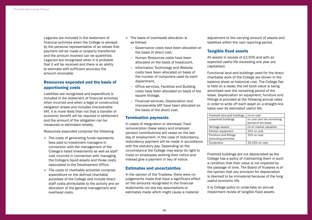Legacies are included in the statement of financial activities when the College is advised by the personal representative of an estate that payment will be made or property transferred and the amount involved can be quantified. Legacies are recognised when it is probable that it will be received and there is an ability to estimate with sufficient accuracy the amount receivable.

## Resources expended and the basis of apportioning costs

Liabilities are recognised and expenditure is included in the statement of financial activities when incurred and when a legal or constructive obligation arises and includes irrecoverable VAT, it is more likely than not that a transfer of economic benefit will be required in settlement and the amount of the obligation can be measured or estimated reliably.

Resources expended comprise the following:

- $\bullet$  The costs of generating funds represents fees paid to investment managers in connection with the management of the College's listed investments as well as staff cost incurred in connection with managing the College's liquid assets and those costs associated to the Development Office.
- $\bullet$  The costs of charitable activities comprise expenditure on the defined charitable purposes of the College and include direct staff costs attributable to the activity and an allocation of the general management and overhead costs.
- **The basis of overheads allocation is** as follows:
	- Governance costs have been allocated on the basis of direct cost,
	- Human Resources costs have been allocated on the basis of headcount,
	- Information Technology and Website costs have been allocated on basis of the number of computers used by each department,
	- Office services, Facilities and Building costs have been allocated on basis of the square footage.
	- Financial services, Depreciation and Irrecoverable VAT have been allocated on the basis of the direct cost.

## Termination payments

In cases of resignation or dismissal, fixed remuneration (base salary and employer pension contributions) will cease on the last day of employment. In the case of redundancy, redundancy payment will be made in accordance with the statutory pay. Depending on the circumstance the College may waive its right to insist on employees working their notice and instead give a payment in lieu of notice.

## Estimates and uncertainties

In the opinion of the Trustees, there were no judgements made that have a significant effect on the amounts recognised in the financial statements nor any key assumptions or estimates made which might cause a material

adjustment to the carrying amount of assets and liabilities within the next reporting period.

## Tangible fixed assets

All assets in excess of £2,500 and with an expected useful life exceeding one year are capitalised.

Functional land and buildings used for the direct charitable work of the College are shown in the balance sheet at historical cost. The College flat is held on a lease; the net book value is being amortised over the remaining period of the lease. Depreciation on equipment, furniture and fittings is provided at the following annual rates in order to write off each asset on a straight-line basis over its estimated useful life:

| Freehold land and buildings                            | nil on cost                                       |
|--------------------------------------------------------|---------------------------------------------------|
| Leasehold buildings                                    | on cost over the remaining<br>period of the lease |
| Heritage assets                                        | nil on market valuation                           |
| Kitchen equipment                                      | 20% on cost                                       |
| <b>Furniture and fittings</b><br>(excluding portraits) | 10% on cost                                       |
| Computers                                              | 33.33% on cost                                    |

Freehold buildings are not depreciated as the College has a policy of maintaining them in such a condition that their value is not impaired by the passage of time. The Board of Trustees is of the opinion that any provision for depreciation is deemed to be immaterial because of the long useful economic life.

It is College policy to undertake an annual impairment review of tangible fixed assets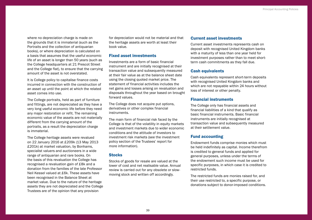<span id="page-40-0"></span>where no depreciation charge is made on the grounds that it is immaterial (such as the Portraits and the collection of antiquarian books), or where depreciation is calculated on a basis that assumes that the useful economic life of an asset is longer than 50 years (such as the College headquarters at 21 Prescot Street and the College flat), to ensure that the carrying amount of the asset is not overstated.

It is College policy to capitalise finance costs incurred in connection with the construction of an asset up until the point at which the related asset comes into use.

The College portraits, held as part of furniture and fittings, are not depreciated as they have a very long useful economic life before they need any major restoration or refit. The remaining economic value of the assets are not materially different from the carrying amount of the portraits, as a result the depreciation charge is immaterial.

The College heritage assets were revalued on 22 January 2016 at £209k (13 May 2013 £201k) at market valuation, by Bonhams, specialist valuers and auctioneers in a wide range of antiquarian and rare books. On the basis of this revaluation the College has recognised a revaluation gain of £8k and a donation from the families of the late Professor Neil Kessel valued at £6k. These assets have been recognised in the Balance Sheet at market value. Due to the nature of the heritage assets they are not depreciated and the College Trustees are of the opinion that any provision

for depreciation would not be material and that the heritage assets are worth at least their book value.

## Fixed asset investments

Investments are a form of basic financial instrument and are initially recognised at their transaction value and subsequently measured at their fair value as at the balance sheet date using the closing quoted market price. The statement of financial activities includes the net gains and losses arising on revaluation and disposals throughout the year based on brought forward values.

The College does not acquire put options, derivatives or other complex financial instruments.

The main form of financial risk faced by the College is that of the volatility in equity markets and investment markets due to wider economic conditions and the attitude of investors to investment risk markets (see the investment policy section of the Trustees' report for more information).

## **Stocks**

Stocks of goods for resale are valued at the lower of cost and net realisable value. Annual review is carried out for any obsolete or slowmoving stock and written off accordingly.

## Current asset investments

Current asset investments represents cash on deposit with recognised United Kingdom banks with a maturity of less than one year held for investment purposes rather than to meet shortterm cash commitments as they fall due.

## Cash equivalents

Cash equivalents represent short-term deposits with recognised United Kingdom banks and which are not repayable within 24 hours without loss of interest or other penalty.

## Financial instruments

The College only has financial assets and financial liabilities of a kind that qualify as basic financial instruments. Basic financial instruments are initially recognised at transaction value and subsequently measured at their settlement value.

## Fund accounting

Endowment funds comprise monies which must be held indefinitely as capital. Income therefrom is credited to general funds and applied for general purposes, unless under the terms of the endowment such income must be used for specific purposes, in which case it is credited to restricted funds.

The restricted funds are monies raised for, and their use restricted to, a specific purpose, or donations subject to donor-imposed conditions.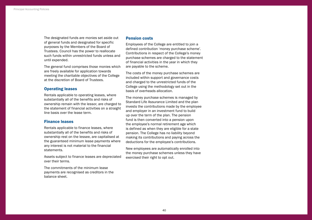The designated funds are monies set aside out of general funds and designated for specific purposes by the Members of the Board of Trustees. Council has the power to reallocate such funds within unrestricted funds unless and until expended.

The general fund comprises those monies which are freely available for application towards meeting the charitable objectives of the College at the discretion of Board of Trustees.

## Operating leases

Rentals applicable to operating leases, where substantially all of the benefits and risks of ownership remain with the lessor, are charged to the statement of financial activities on a straight line basis over the lease term.

## Finance leases

Rentals applicable to finance leases, where substantially all of the benefits and risks of ownership rest on the lessee, are capitalised at the guaranteed minimum lease payments where any interest is not material to the financial statements.

Assets subject to finance leases are depreciated over their terms.

The commitments of the minimum lease payments are recognised as creditors in the balance sheet.

### Pension costs

Employees of the College are entitled to join a defined contribution 'money purchase scheme'. Contributions in respect of the College's money purchase schemes are charged to the statement of financial activities in the year in which they are payable to the scheme.

The costs of the money purchase schemes are included within support and governance costs and charged to the unrestricted funds of the College using the methodology set out in the basis of overheads allocation.

The money purchase schemes is managed by Standard Life Assurance Limited and the plan invests the contributions made by the employee and employer in an investment fund to build up over the term of the plan. The pension fund is then converted into a pension upon the employee's normal retirement age which is defined as when they are eligible for a state pension. The College has no liability beyond making its contributions and paying across the deductions for the employee's contributions.

New employees are automatically enrolled into the money purchase schemes unless they have exercised their right to opt out.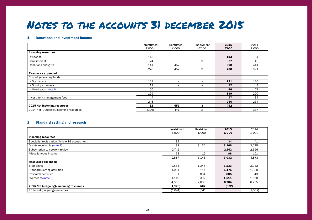# <span id="page-42-0"></span>Notes to the accounts 31 december 2015

### 1 Donations and investment income

|                                        | Unrestricted | Restricted                   | Endowment                | 2015            | 2014  |
|----------------------------------------|--------------|------------------------------|--------------------------|-----------------|-------|
|                                        | £'000        | £'000                        | £'000                    | £'000           | £'000 |
| <b>Incoming resources</b>              |              |                              |                          |                 |       |
| <b>Dividends</b>                       | 113          | $\qquad \qquad -$            | $\overline{\phantom{m}}$ | 113             | 84    |
| <b>Bank interest</b>                   | 24           | $\qquad \qquad -$            | 3                        | 27              | 46    |
| Donations and gifts                    | 141          | 457                          | $\qquad \qquad$          | 598             | 441   |
|                                        | 278          | 457                          | 3                        | 738             | 571   |
| <b>Resources expended</b>              |              |                              |                          |                 |       |
| Cost of generating funds               |              |                              |                          |                 |       |
| - Staff costs                          | 121          | $\qquad \qquad -$            | $\overline{\phantom{a}}$ | 121             | 120   |
| - Sundry expenses                      | 12           | $\qquad \qquad \blacksquare$ | $\overline{\phantom{m}}$ | 12 <sup>2</sup> | 9     |
| - Overheads (note 6)                   | 66           | -                            | $\overline{\phantom{a}}$ | 66              | 71    |
|                                        | 199          | $\qquad \qquad \blacksquare$ | $\overline{\phantom{m}}$ | 199             | 200   |
| Investment management fees             | 47           | $\overline{\phantom{m}}$     | $\overline{\phantom{m}}$ | 47              | 34    |
|                                        | 246          | -                            |                          | 246             | 234   |
| 2015 Net incoming resources            | 32           | 457                          | з                        | 492             |       |
| 2014 Net (Outgoing)/incoming resources | (106)        | 441                          | $\overline{2}$           |                 | 337   |

## 2 Standard setting and research

|                                                 | Unrestricted | Restricted | 2015  | 2014     |
|-------------------------------------------------|--------------|------------|-------|----------|
|                                                 | £'000        | £'000      | £'000 | £'000    |
| <b>Incoming resources</b>                       |              |            |       |          |
| Specialist registration (Article 14 assessment) | 34           | $-$        | 34    | 41       |
| Grants receivable (note 7)                      | 38           | 3,130      | 3,168 | 2,035    |
| Subscription to network review                  | 2,742        | $-$        | 2,742 | 2,696    |
| Miscellaneous income                            | 73           | 15         | 88    | 101      |
|                                                 | 2,887        | 3,145      | 6,032 | 4,873    |
| <b>Resources expended</b>                       |              |            |       |          |
| Staff costs                                     | 1,885        | 1,248      | 3,133 | 3,032    |
| <b>Standard Setting activities</b>              | 1,061        | 114        | 1,175 | 1,030    |
| Research activities                             |              | 884        | 885   | 643      |
| Overheads (note 6)                              | 1,119        | 392        | 1,511 | 1,550    |
|                                                 | 4,066        | 2,638      | 6,704 | 6,255    |
| 2015 Net (outgoing)/incoming resources          | (1, 179)     | 507        | (672) |          |
| 2014 Net (outgoing) resources                   | (1,041)      | (341)      |       | (1, 382) |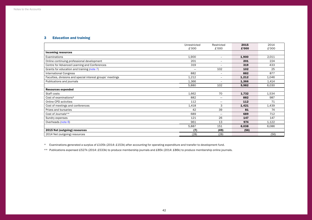## 3 Education and training

|                                                            | Unrestricted | Restricted               | 2015  | 2014  |
|------------------------------------------------------------|--------------|--------------------------|-------|-------|
|                                                            | £'000        | £'000                    | £'000 | £'000 |
| <b>Incoming resources</b>                                  |              |                          |       |       |
| Examinations                                               | 1,900        | $\overline{\phantom{0}}$ | 1,900 | 2,011 |
| Online continuing professional development                 | 201          | -                        | 201   | 224   |
| Centre for Advanced Learning and Conferences               | 319          | $=$                      | 319   | 433   |
| Grants for education and training (note 7)                 |              | 102                      | 102   | 25    |
| <b>International Congress</b>                              | 882          | $\overline{\phantom{0}}$ | 882   | 877   |
| Faculties, divisions and special interest groups' meetings | 1,212        | $\overline{\phantom{0}}$ | 1,212 | 1,046 |
| Publications and journals                                  | 1,366        | -                        | 1,366 | 1,414 |
|                                                            | 5,880        | 102                      | 5,982 | 6,030 |
| <b>Resources expended</b>                                  |              |                          |       |       |
| Staff costs                                                | 1,662        | 70                       | 1,732 | 1,534 |
| Cost of examinations*                                      | 882          | $\equiv$                 | 882   | 987   |
| Online CPD activities                                      | 112          | $\qquad \qquad =$        | 112   | 71    |
| Cost of meetings and conferences                           | 1,418        | 3                        | 1,421 | 1,439 |
| Prizes and bursaries                                       | 42           | 39                       | 81    | 74    |
| Cost of Journals**                                         | 689          | $\overline{\phantom{0}}$ | 689   | 712   |
| Sundry expenses                                            | 121          | 26                       | 147   | 147   |
| Overheads (note 6)                                         | 961          | 13                       | 974   | 1,122 |
|                                                            | 5,887        | 151                      | 6,038 | 6,086 |
| 2015 Net (outgoing) resources                              | (7)          | (49)                     | (56)  |       |
| 2014 Net (outgoing) resources                              | (28)         | (28)                     |       | (56)  |

\* Examinations generated a surplus of £105k (2014: £153k) after accounting for operating expenditure and transfer to development fund.

\*\* Publications expensed £527k (2014: £533k) to produce membership journals and £85k (2014: £86k) to produce membership online journals.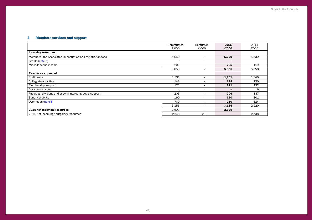## 4 Members services and support

|                                                             | Unrestricted             | Restricted      | 2015                     | 2014  |
|-------------------------------------------------------------|--------------------------|-----------------|--------------------------|-------|
|                                                             | £'000                    | £'000           | £'000                    | £'000 |
| <b>Incoming resources</b>                                   |                          |                 |                          |       |
| Members' and Associates' subscription and registration fees | 5,650                    | -               | 5,650                    | 5,539 |
| Grants (note 7)                                             | -                        | $\qquad \qquad$ | $\overline{\phantom{0}}$ |       |
| Miscellaneous income                                        | 205                      | -               | 205                      | 119   |
|                                                             | 5,855                    | $-$             | 5,855                    | 5,658 |
| <b>Resources expended</b>                                   |                          |                 |                          |       |
| Staff costs                                                 | 1,731                    | $-$             | 1,731                    | 1,540 |
| Collegiate activities                                       | 148                      | -               | 148                      | 130   |
| Membership support                                          | 121                      | $\qquad \qquad$ | 121                      | 132   |
| <b>Advisory services</b>                                    | $\overline{\phantom{0}}$ | -               | $\overline{\phantom{0}}$ | 6     |
| Faculties, divisions and special interest groups' support   | 206                      | -               | 206                      | 187   |
| Sundry expense                                              | 190                      | -               | 190                      | 101   |
| Overheads (note 6)                                          | 760                      | -               | 760                      | 824   |
|                                                             | 3,156                    | $-$             | 3,156                    | 2,920 |
| 2015 Net incoming resources                                 | 2,699                    | $-$             | 2,699                    |       |
| 2014 Net incoming/(outgoing) resources                      | 2,748                    | (10)            |                          | 2,738 |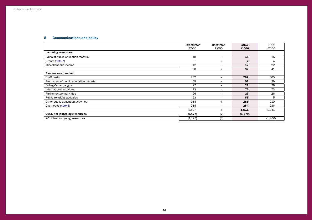## 5 Communications and policy

|                                         | Unrestricted | Restricted               | 2015         | 2014    |
|-----------------------------------------|--------------|--------------------------|--------------|---------|
|                                         | £'000        | £'000                    | £'000        | £'000   |
| <b>Incoming resources</b>               |              |                          |              |         |
| Sales of public education material      | 18           | $\overline{\phantom{m}}$ | 18           | 15      |
| Grants (note 7)                         | -            | 2                        | $\mathbf{2}$ | 4       |
| Miscellaneous income                    | 12           | $\overline{\phantom{0}}$ | 12           | 22      |
|                                         | 30           | $\overline{2}$           | 32           | 41      |
| <b>Resources expended</b>               |              |                          |              |         |
| Staff costs                             | 702          | $\overline{\phantom{m}}$ | 702          | 565     |
| Production of public education material | 59           | $\overline{\phantom{m}}$ | 59           | 39      |
| College's campaigns                     | 27           | $\overline{\phantom{m}}$ | 27           | 28      |
| International activities                | 72           | $\overline{\phantom{0}}$ | 72           | 73      |
| Parliamentary activities                | 26           | $\overline{\phantom{m}}$ | 26           | 26      |
| Public relations activities             | 53           | $\overline{\phantom{m}}$ | 53           | 5       |
| Other public education activities       | 284          | 4                        | 288          | 219     |
| Overheads (note 6)                      | 284          | $\overline{\phantom{0}}$ | 284          | 286     |
|                                         | 1,507        | 4                        | 1,511        | 1,241   |
| 2015 Net (outgoing) resources           | (1, 477)     | (2)                      | (1, 479)     |         |
| 2014 Net (outgoing) resources           | (1, 197)     | (3)                      |              | (1,200) |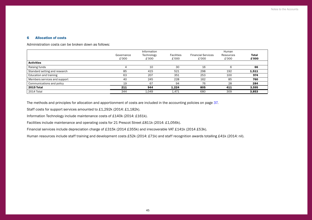## <span id="page-46-1"></span><span id="page-46-0"></span>6 Allocation of costs

Administration costs can be broken down as follows:

|                               | Information |            |                   |                           | Human     |       |  |
|-------------------------------|-------------|------------|-------------------|---------------------------|-----------|-------|--|
|                               | Governance  | Technology | <b>Facilities</b> | <b>Financial Services</b> | Resources | Total |  |
|                               | £'000       | £'000      | £'000             | £'000                     | £'000     | £'000 |  |
| <b>Activities</b>             |             |            |                   |                           |           |       |  |
| Raising funds                 | 4           | 10         | 30                | 16                        | 6         | 66    |  |
| Standard setting and research | 85          | 415        | 521               | 298                       | 192       | 1,511 |  |
| Education and training        | 63          | 207        | 351               | 253                       | 100       | 974   |  |
| Members services and support  | 40          | 245        | 228               | 162                       | 85        | 760   |  |
| Communications and policy     | 19          | 67         | 94                | 76                        | 28        | 284   |  |
| <b>2015 Total</b>             | 211         | 944        | 1,224             | 805                       | 411       | 3,595 |  |
| 2014 Total                    | 344         | 1,049      | 1,471             | 680                       | 309       | 3,853 |  |

The methods and principles for allocation and apportionment of costs are included in the accounting policies on page [37](#page-38-0).

Staff costs for support services amounted to £1,292k (2014: £1,182k).

Information Technology include maintenance costs of £140k (2014: £161k).

Facilities include maintenance and operating costs for 21 Prescot Street £811k (2014: £1,056k).

Financial services include depreciation charge of £315k (2014 £355k) and irrecoverable VAT £141k (2014 £53k).

Human resources include staff training and development costs £52k (2014: £71k) and staff recognition awards totalling £41k (2014: nil).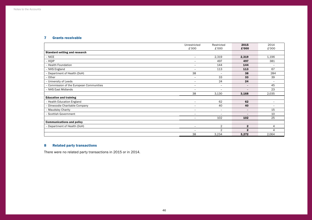## <span id="page-47-0"></span>7 Grants receivable

|                                          | Unrestricted             | Restricted               | 2015                     | 2014                     |
|------------------------------------------|--------------------------|--------------------------|--------------------------|--------------------------|
|                                          | £'000                    | £'000                    | £'000                    | £'000                    |
| <b>Standard setting and research</b>     |                          |                          |                          |                          |
| - NICE                                   | $\overline{\phantom{0}}$ | 2,319                    | 2,319                    | 1,196                    |
| - HQIP                                   | $-$                      | 497                      | 497                      | 381                      |
| - Health Foundation                      | $\equiv$                 | 144                      | 144                      |                          |
| - NHS England                            | $\overline{\phantom{a}}$ | 113                      | 113                      | 67                       |
| - Department of Health (DoH)             | 38                       | $\overline{\phantom{a}}$ | 38                       | 284                      |
| - Other                                  | $\qquad \qquad -$        | 33                       | 33                       | 39                       |
| - University of Leeds                    | $\qquad \qquad$          | 24                       | 24                       | $\overline{\phantom{a}}$ |
| - Commission of the European Communities | $\overline{\phantom{m}}$ | $\overline{\phantom{a}}$ | $\overline{\phantom{a}}$ | 45                       |
| - NHS East Midlands                      | $\equiv$                 | $\overline{\phantom{m}}$ | $\qquad \qquad -$        | 23                       |
|                                          | 38                       | 3,130                    | 3,168                    | 2,035                    |
| <b>Education and training</b>            |                          |                          |                          |                          |
| - Health Education England               | $\overline{\phantom{m}}$ | 62                       | 62                       | $\qquad \qquad -$        |
| - Dinwoodie Charitable Company           | $\overline{\phantom{a}}$ | 40                       | 40                       | $\overline{\phantom{m}}$ |
| - Maudsley Charity                       | $\qquad \qquad -$        | $\overline{\phantom{a}}$ | $\overline{\phantom{a}}$ | 15                       |
| - Scottish Government                    |                          | $\overline{\phantom{0}}$ | $\overline{\phantom{a}}$ | 10                       |
|                                          | $\overline{\phantom{a}}$ | 102                      | 102                      | 25                       |
| <b>Communications and policy</b>         |                          |                          |                          |                          |
| - Department of Health (DoH)             | $\overline{\phantom{a}}$ | 2                        | $\overline{2}$           | 4                        |
|                                          | $\equiv$                 | $\overline{2}$           | $\mathbf{2}$             | 4                        |
|                                          | 38                       | 3,234                    | 3,272                    | 2,064                    |

## 8 Related party transactions

There were no related party transactions in 2015 or in 2014.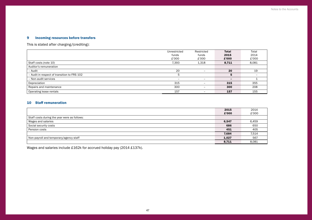## 9 Incoming resources before transfers

This is stated after charging/(crediting):

|                                             | Unrestricted             | Restricted | <b>Total</b>             | Total                    |
|---------------------------------------------|--------------------------|------------|--------------------------|--------------------------|
|                                             | funds                    | funds      | 2015                     | 2014                     |
|                                             | £'000                    | £'000      | £'000                    | £'000                    |
| Staff costs (note 10)                       | 7,393                    | 1,318      | 8,711                    | 8,081                    |
| Auditor's remuneration                      |                          |            |                          |                          |
| - Audit                                     | 20                       |            | 20                       | 19                       |
| - Audit in respect of transition to FRS 102 | b                        |            | 5                        | $\overline{\phantom{0}}$ |
| - Non-audit services                        | $\overline{\phantom{0}}$ | <b>_</b>   | $\overline{\phantom{0}}$ |                          |
| Depreciation                                | 315                      |            | 315                      | 355                      |
| Repairs and maintenance                     | 300                      | -          | 300                      | 208                      |
| Operating lease rentals                     | 157                      |            | 157                      | 155                      |

## 10 Staff remuneration

|                                              | 2015  | 2014  |
|----------------------------------------------|-------|-------|
|                                              | £'000 | £'000 |
| Staff costs during the year were as follows: |       |       |
| Wages and salaries                           | 6,547 | 6,459 |
| Social security costs                        | 686   | 650   |
| Pension costs                                | 451   | 405   |
|                                              | 7.684 | 7,514 |
| Non-payroll and temporary/agency staff       | 1,027 | 567   |
|                                              | 8,711 | 8,081 |

Wages and salaries include £162k for accrued holiday pay (2014 £137k).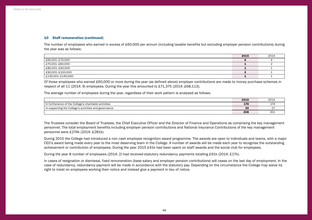### 10 Staff remuneration (continued)

The number of employees who earned in excess of £60,000 per annum (including taxable benefits but excluding employer pension contributions) during the year was as follows:

|                   | 2015 | 2014 |
|-------------------|------|------|
| £60,001–£70,000   |      |      |
| £70,001–£80,000   |      |      |
| L80,001-£90,000   |      |      |
| £90,001-£100,000  |      |      |
| £130,001–£140,000 |      |      |

Of those employees who earned £60,000 or more during the year (as defined above) employer contributions are made to money purchase schemes in respect of all 11 (2014: 9) employees. During the year this amounted to £71,375 (2014: £68,113).

The average number of employees during the year, regardless of their work pattern is analysed as follows:

|                                                       | 2015 | 2014        |
|-------------------------------------------------------|------|-------------|
| In furtherance of the College's charitable activities | 178  | I 74<br>— 1 |
| In supporting the College's activities and governance | 30   |             |
|                                                       | 208  | 201         |

The Trustees consider the Board of Trustees, the Chief Executive Officer and the Director of Finance and Operations as comprising the key management personnel. The total employment benefits including employer pension contributions and National Insurance Contributions of the key management personnel were £274k (2014: £281k).

During 2015 the College had introduced a non cash employee recognition award programme. The awards are open to individuals and teams, with a major CEO's award being made every year to the most deserving team in the College. A number of awards will be made each year to recognise the outstanding achievement or contribution of employees. During the year 2015 £41k had been spent on staff awards and the social club for employees.

During the year 8 number of employees (2014: 2) had received statutory redundancy payments totalling £91k (2014: £17k).

In cases of resignation or dismissal, fixed remuneration (base salary and employer pension contributions) will cease on the last day of employment. In the case of redundancy, redundancy payment will be made in accordance with the statutory pay. Depending on the circumstance the College may waive its right to insist on employees working their notice and instead give a payment in lieu of notice.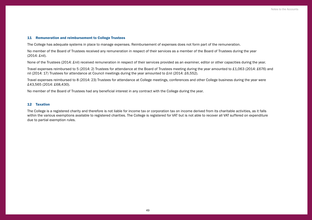### 11 Remuneration and reimbursement to College Trustees

The College has adequate systems in place to manage expenses. Reimbursement of expenses does not form part of the remuneration.

No member of the Board of Trustees received any remuneration in respect of their services as a member of the Board of Trustees during the year (2014: £nil).

None of the Trustees (2014: £nil) received remuneration in respect of their services provided as an examiner, editor or other capacities during the year.

Travel expenses reimbursed to 5 (2014: 2) Trustees for attendance at the Board of Trustees meeting during the year amounted to £1,063 (2014: £676) and nil (2014: 17) Trustees for attendance at Council meetings during the year amounted to £nil (2014: £6,552).

Travel expenses reimbursed to 8 (2014: 23) Trustees for attendance at College meetings, conferences and other College business during the year were £43,565 (2014: £68,430).

No member of the Board of Trustees had any beneficial interest in any contract with the College during the year.

### 12 Taxation

The College is a registered charity and therefore is not liable for income tax or corporation tax on income derived from its charitable activities, as it falls within the various exemptions available to registered charities. The College is registered for VAT but is not able to recover all VAT suffered on expenditure due to partial exemption rules.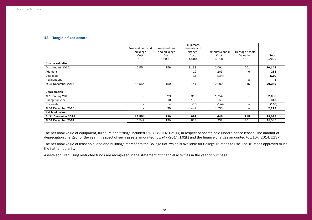## 13 Tangible fixed assets

|                          |                          |                          | Equipment,    |                          |                          |        |
|--------------------------|--------------------------|--------------------------|---------------|--------------------------|--------------------------|--------|
|                          | Freehold land and        | Leasehold land           | furniture and |                          |                          |        |
|                          | buildings                | and buildings            | fittings      | Computers and IT         | <b>Heritage Assets</b>   |        |
|                          | Cost                     | Cost                     | Cost          | Cost                     | Valuation                | Total  |
|                          | £'000                    | £'000                    | £'000         | £'000                    | £'000                    | £'000  |
| <b>Cost or valuation</b> |                          |                          |               |                          |                          |        |
| At 1 January 2015        | 16,554                   | 159                      | 1,138         | 2,091                    | 201                      | 20,143 |
| Additions                | $\qquad \qquad -$        | $\overline{\phantom{a}}$ | 19            | 263                      | 6                        | 288    |
| Disposals                | $\qquad \qquad -$        | $\overline{\phantom{a}}$ | (16)          | (174)                    | $\overline{\phantom{a}}$ | (190)  |
| Revaluations             | $\qquad \qquad -$        | $\overline{\phantom{a}}$ | $\equiv$      | $\overline{\phantom{0}}$ | 8                        | 8      |
| At 31 December 2015      | 16,554                   | 159                      | 1,141         | 2,180                    | 215                      | 20,249 |
|                          |                          |                          |               |                          |                          |        |
| <b>Depreciation</b>      |                          |                          |               |                          |                          |        |
| At 1 January 2015        | $\overline{\phantom{a}}$ | 29                       | 315           | 1,754                    | $\overline{\phantom{m}}$ | 2,098  |
| Charge for year          | $\overline{\phantom{a}}$ | 10                       | 150           | 155                      | $\overline{\phantom{a}}$ | 315    |
| Disposals                | -                        | $\overline{\phantom{a}}$ | (16)          | (174)                    | $\overline{\phantom{a}}$ | (190)  |
| At 31 December 2015      | $\overline{\phantom{a}}$ | 39                       | 449           | 1,735                    | $\overline{\phantom{a}}$ | 2,223  |
| Net book value           |                          |                          |               |                          |                          |        |
| At 31 December 2015      | 16,554                   | 120                      | 692           | 445                      | 215                      | 18,026 |
| At 31 December 2014      | 16,549                   | 130                      | 823           | 337                      | 201                      | 18,045 |

The net book value of equipment, furniture and fittings included £137k (2014: £211k) in respect of assets held under finance leases. The amount of depreciation charged for the year in respect of such assets amounted to £74k (2014: £62k) and the finance charges amounted to £10k (2014: £13k).

The net book value of leasehold land and buildings represents the College flat, which is available for College Trustees to use. The Trustees approved to let the flat temporarily.

Assets acquired using restricted funds are recognised in the statement of financial activities in the year of purchase.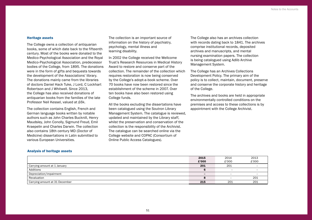### Heritage assets

The College owns a collection of antiquarian books, some of which date back to the fifteenth century. Most of the books were donated to the Medico-Psychological Association and the Royal Medico-Psychological Association, predecessor bodies of the College, from 1895. The donations were in the form of gifts and bequests towards the development of the Associations' library. The donations mainly came from the libraries of doctors Daniel Hack Tuke, J Lord, C Lockhart Robertson and J Whitwell. Since 2013, the College has also received donations of antiquarian books from the families of the late Professor Neil Kessel, valued at £6k.

The collection contains English, French and German language books written by notable authors such as John Charles Bucknill, Henry Maudsley, John Conolly, Sigmund Freud, Emil Kraepelin and Charles Darwin. The collection also contains 18th century MD (Doctor of Medicine) dissertations in Latin submitted to various European Universities.

The collection is an important source of information on the history of psychiatry, psychology, mental illness and learning disability.

In 2002 the College received the Wellcome Trust's Research Resources in Medical History Award to restore and conserve part of the collection. The remainder of the collection which requires restoration is now being conserved by the College's adopt-a-book scheme. Over 70 books have now been restored since the establishment of the scheme in 2007. Over ten books have also been restored using College funds.

All the books excluding the dissertations have been catalogued using the Soutron Library Management System. The catalogue is reviewed, updated and maintained by the Library staff, whilst the preservation and conservation of the collection is the responsibility of the Archivist. The catalogue can be searched online via the College website and COPAC (Consortium of Online Public Access Catalogues).

The College also has an archives collection with records dating back to 1841. The archives comprise institutional records, deposited archives and manuscripts, and mental nursing examination papers. The collection is being catalogued using Adlib Archive Management System.

The College has an Archives Collections Development Policy. The primary aim of the policy is to collect, maintain, document, preserve and conserve the corporate history and heritage of the College.

The archives and books are held in appropriate environmentally controlled conditions on the premises and access to these collections is by appointment with the College Archivist.

### Analysis of heritage assets

|                                | 2015<br>£'000            | 2014<br>£'000            | 2013<br>£'000            |
|--------------------------------|--------------------------|--------------------------|--------------------------|
| Carrying amount at 1 January   | 201                      | 201                      | $\overline{\phantom{0}}$ |
| Additions                      |                          | <b>_</b>                 | -                        |
| Depreciation/impairment        | $\overline{\phantom{0}}$ | $\overline{\phantom{0}}$ | $\overline{\phantom{0}}$ |
| Revaluation                    |                          |                          | 201                      |
| Carrying amount at 31 December | 215                      | 201                      | 201                      |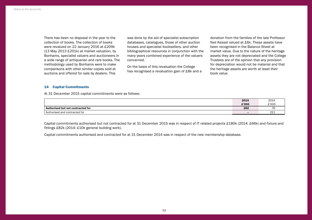There has been no disposal in the year to the collection of books. The collection of books were revalued on 22 January 2016 at £209k (13 May 2013 £201k) at market valuation, by Bonhams, specialist valuers and auctioneers in a wide range of antiquarian and rare books. The methodology used by Bonhams were to make comparisons with other similar copies sold at auctions and offered for sale by dealers. This

was done by the aid of specialist subscription databases, catalogues, those of other auction houses and specialist booksellers, and other bibliographical resources in conjunction with the many years combined experience of the valuers concerned.

On the basis of this revaluation the College has recognised a revaluation gain of £8k and a

donation from the families of the late Professor Neil Kessel valued at £6k. These assets have been recognised in the Balance Sheet at market value. Due to the nature of the heritage assets they are not depreciated and the College Trustees are of the opinion that any provision for depreciation would not be material and that the heritage assets are worth at least their book value.

### 14 Capital Commitments

At 31 December 2015 capital commitments were as follows:

|                                   | 2015                     | 2014                 |
|-----------------------------------|--------------------------|----------------------|
|                                   | £'000                    | £'000                |
| Authorised but not contracted for | 262                      | --                   |
| Authorised and contracted for     | $\overline{\phantom{0}}$ | $\sim$ $\sim$<br>221 |

Capital commitments authorised but not contracted for at 31 December 2015 was in respect of IT related projects £180k (2014: £66k) and fixture and fittings £82k (2014: £10k general building work).

Capital commitments authorised and contracted for at 31 December 2014 was in respect of the new membership database.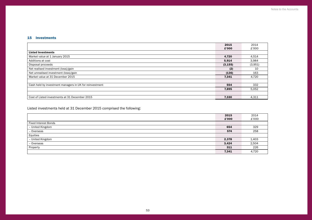## 15 Investments

|                                                         | 2015     | 2014    |
|---------------------------------------------------------|----------|---------|
|                                                         | £'000    | £'000   |
| <b>Listed Investments</b>                               |          |         |
| Market value at 1 January 2015                          | 4,720    | 4,514   |
| Additions at cost                                       | 5,914    | 3,984   |
| Disposal proceeds                                       | (3, 155) | (3,951) |
| Net realised investment (loss)/gain                     | (2)      | 10      |
| Net unrealised investment (loss)/gain                   | (136)    | 163     |
| Market value at 31 December 2015                        | 7,341    | 4,720   |
|                                                         |          |         |
| Cash held by investment managers in UK for reinvestment | 554      | 332     |
|                                                         | 7,895    | 5,052   |
|                                                         |          |         |
| Cost of Listed investments at 31 December 2015          | 7,330    | 4,311   |

Listed investments held at 31 December 2015 comprised the following:

| 2015                        | 2014  |
|-----------------------------|-------|
| £'000                       | £'000 |
| <b>Fixed Interest Bonds</b> |       |
| - United Kingdom<br>654     | 329   |
| - Overseas<br>574           | 258   |
| Equities                    |       |
| - United Kingdom<br>2,378   | 1,403 |
| - Overseas<br>3,424         | 2,504 |
| Property<br>311             | 226   |
| 7,341                       | 4,720 |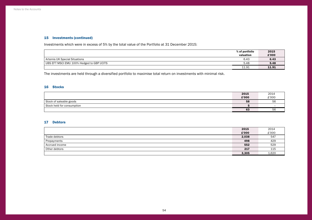## 15 Investments (continued)

Investments which were in excess of 5% by the total value of the Portfolio at 31 December 2015:

|                                           | % of portfolio | 2015  |
|-------------------------------------------|----------------|-------|
|                                           | valuation      | £'000 |
| Artemis UK Special Situations             | 6.43           | 6.43  |
| UBS EFT MSCI EMU 100% Hedged to GBP UCITS | 5.48           | 5.48  |
|                                           | 11.91          | 11.91 |

The investments are held through a diversified portfolio to maximise total return on investments with minimal risk.

## 16 Stocks

|                            | 2015  | 2014          |
|----------------------------|-------|---------------|
|                            | £'000 | £'000         |
| Stock of saleable goods    | 58    | $ \sim$<br>56 |
| Stock held for consumption |       | -             |
|                            | 63    | pp            |

## 17 Debtors

|                | 2015  | 2014  |
|----------------|-------|-------|
|                | £'000 | £'000 |
| Trade debtors  | 2,038 | 547   |
| Prepayments    | 498   | 429   |
| Accrued income | 552   | 529   |
| Other debtors  | 217   | 115   |
|                | 3,305 | 1,620 |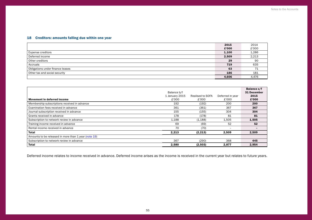## <span id="page-56-0"></span>18 Creditors: amounts falling due within one year

|                                  | 2015  | 2014  |
|----------------------------------|-------|-------|
|                                  | £'000 | £'000 |
| <b>Expense creditors</b>         | 1,100 | 1,286 |
| Deferred income                  | 2,509 | 2,213 |
| Other creditors                  | 29    | 90    |
| Accruals                         | 719   | 635   |
| Obligations under finance leases | 63    | 71    |
| Other tax and social security    | 186   | 181   |
|                                  | 4.606 | 4,476 |

|                                                      | Balance b/f    |                  |                          | <b>Balance c/f</b><br><b>31 December</b> |
|------------------------------------------------------|----------------|------------------|--------------------------|------------------------------------------|
|                                                      | 1 January 2015 | Realised to SOFA | Deferred in year         | 2015                                     |
| <b>Movement in deferred income</b>                   | £'000          | £'000            | £'000                    | £'000                                    |
| Membership subscriptions received in advance         | 192            | (192)            | 200                      | 200                                      |
| Examination fees received in advance                 | 361            | (361)            | 367                      | 367                                      |
| Journal subscription received in advance             | 155            | (155)            | 304                      | 304                                      |
| Grants received in advance                           | 178            | (178)            | 81                       | 81                                       |
| Subscription to network review in advance            | 1,188          | (1, 188)         | 1,505                    | 1,505                                    |
| Training income received in advance                  | 69             | (69)             | 52                       | 52                                       |
| Rental income received in advance                    | 70             | (70)             | $\overline{\phantom{0}}$ | -                                        |
| Total                                                | 2,213          | (2, 213)         | 2,509                    | 2,509                                    |
| Amounts to be released in more than 1 year (note 19) |                |                  |                          |                                          |
| Subscription to network review in advance            | 367            | (290)            | 368                      | 445                                      |
| <b>Total</b>                                         | 2,580          | (2,503)          | 2,877                    | 2.954                                    |

Deferred income relates to income received in advance. Deferred income arises as the income is received in the current year but relates to future years.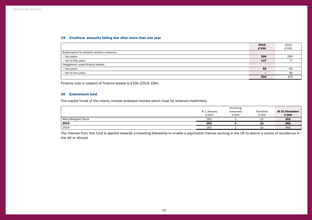## <span id="page-57-0"></span>19 Creditors: amounts falling due after more than one year

|                                           | 2015                     | 2014                     |
|-------------------------------------------|--------------------------|--------------------------|
|                                           | £'000                    | £'000                    |
| Subscription to network review in advance |                          |                          |
| - two years                               | 328                      | 290                      |
| - two to five years                       | 117                      | $\overline{\phantom{a}}$ |
| Obligations under finance leases          |                          |                          |
| - two years                               | 55                       | 63                       |
| - two to five years                       | $\overline{\phantom{0}}$ | 49                       |
|                                           | 500                      | 479                      |

Finance cost in respect of finance leases is £10k (2014: £8k).

## 20 Endowment fund

The capital funds of the charity include endowed monies which must be retained indefinitely.

|                     | Incoming     |           |                  |                |  |
|---------------------|--------------|-----------|------------------|----------------|--|
|                     | At 1 January | resources | <b>Transfers</b> | At 31 December |  |
|                     | £'000        | £'000     | £'000            | £'000          |  |
| Mary Margaret Slack | 262          |           | (3)              | 262            |  |
| 2015                | 262          |           | (3)              | 262            |  |
| 2014                | 262          |           | י פ              | 262            |  |

The interest from this fund is applied towards a travelling fellowship to enable a psychiatric trainee working in the UK to attend a centre of excellence in the UK or abroad.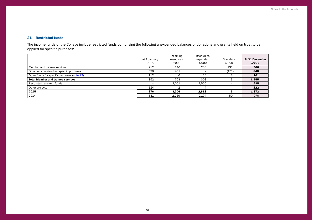## 21 Restricted funds

The income funds of the College include restricted funds comprising the following unexpended balances of donations and grants held on trust to be applied for specific purposes:

|                                             |              | Incoming  | Resources |                          |                |
|---------------------------------------------|--------------|-----------|-----------|--------------------------|----------------|
|                                             | At 1 January | resources | expended  | <b>Transfers</b>         | At 31 December |
|                                             | £'000        | £'000     | £'000     | £'000                    | £'000          |
| Member and trainee services                 | 212          | 246       | 283       | 131                      | 306            |
| Donations received for specific purposes    | 528          | 451       |           | (131)                    | 848            |
| Other funds for specific purposes (note 22) | 112          |           | 20        |                          | 101            |
| <b>Total Member and trainee services</b>    | 852          | 703       | 303       |                          | 1,255          |
| Restricted research funds                   | -            | 3,001     | 2,506     | $\overline{\phantom{0}}$ | 495            |
| Other projects                              | 124          |           |           |                          | 122            |
| 2015                                        | 976          | 3,706     | 2,813     |                          | 1,872          |
| 2014                                        | 881          | 2,239     | 2,194     | 50                       | 976            |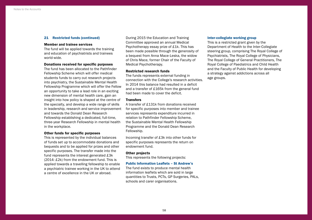### 21 Restricted funds (continued)

### Member and trainee services

The fund will be applied towards the training and education of psychiatrists and trainees world-wide.

## Donations received for specific purposes

The fund has been allocated to the Pathfinder Fellowship Scheme which will offer medical students funds to carry out research projects into psychiatry, the Sustainable Mental Health Fellowship Programme which will offer the Fellow an opportunity to take a lead role in an exciting new dimension of mental health care, gain an insight into how policy is shaped at the centre of the specialty, and develop a wide range of skills in leadership, research and service improvement and towards the Donald Dean Research Fellowship establishing a dedicated, full-time, three-year Research Fellowship in mental health in the workplace.

### Other funds for specific purposes

This is represented by the individual balances of funds set up to accommodate donations and bequests and to be applied for prizes and other specific purposes. The transfer made into the fund represents the interest generated £3k (2014: £2k) from the endowment fund. This is applied towards a travelling fellowship to enable a psychiatric trainee working in the UK to attend a centre of excellence in the UK or abroad.

During 2015 the Education and Training Committee approved an annual Medical Psychotherapy essay prize of £1k. This has been made possible through the generosity of a bequest from Anna Mace-Leska, the widow of Chris Mace, former Chair of the Faculty of Medical Psychotherapy.

### Restricted research funds

The funds represents external funding in connection with the College's research activities. In 2014 this balance had resulted in a deficit and a transfer of £165k from the general fund had been made to cover the deficit.

### **Transfers**

A transfer of £131k from donations received for specific purposes into member and trainee services represents expenditure incurred in relation to Pathfinder Fellowship Scheme, the Sustainable Mental Health Fellowship Programme and the Donald Dean Research Fellowship.

Incoming transfer of £3k into other funds for specific purposes represents the return on endowment fund.

### Other projects

This represents the following projects:

### Public Information Leaflets – St Andrew's

The fund exists to produce mental health information leaflets which are sold in large quantities to Trusts, PCTs, GP Surgeries, PALs, schools and carer organisations.

### Inter-collegiate working group

This is a restricted grant given by the Department of Health to the Inter-Collegiate steering group, comprising The Royal College of Psychiatrists, The Royal College of Physicians, The Royal College of General Practitioners, The Royal College of Paediatrics and Child Health and the Faculty of Public Health for developing a strategy against addictions across all age groups.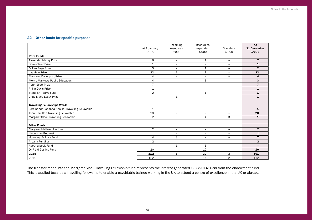## <span id="page-60-0"></span>22 Other funds for specific purposes

|                                                   | At 1 January<br>£'000 | Incoming<br>resources<br>£'000 | Resources<br>expended<br>£'000 | <b>Transfers</b><br>£'000 | At<br>31 December<br>£'000 |
|---------------------------------------------------|-----------------------|--------------------------------|--------------------------------|---------------------------|----------------------------|
| <b>Prize Funds</b>                                |                       |                                |                                |                           |                            |
| Alexander Mezey Prize                             | 8                     | $\overline{\phantom{m}}$       | 1                              | $\overline{\phantom{m}}$  | 7                          |
| <b>Brian Oliver Prize</b>                         | $\mathbf{1}$          | $\overline{\phantom{a}}$       | $\overline{\phantom{a}}$       | $\overline{\phantom{a}}$  | $\mathbf{1}$               |
| Gillian Page Prize                                | 3                     | $\overline{\phantom{a}}$       | 1                              | $\overline{\phantom{a}}$  | $\mathbf{2}$               |
| Laughlin Prize                                    | 22                    | $\mathbf{1}$                   | $\mathbf{1}$                   | $\overline{\phantom{a}}$  | 22                         |
| Margaret Davenport Prize                          | 4                     | $\overline{\phantom{0}}$       | $\overline{\phantom{0}}$       | $\overline{\phantom{a}}$  | 4                          |
| Morris Markowe Public Education                   | 4                     | $\overline{\phantom{0}}$       | $\mathbf{1}$                   | $\blacksquare$            | 3                          |
| Peter Scott Prize                                 | $\overline{7}$        | $\overline{\phantom{a}}$       | $\overline{\phantom{0}}$       | $\overline{\phantom{m}}$  | $\overline{7}$             |
| Philip Davis Prize                                | $\mathbf 1$           | $\overline{\phantom{a}}$       | $\overline{\phantom{0}}$       | $\overline{\phantom{0}}$  | 1                          |
| Standish-Barry Fund                               | $\overline{2}$        | $\overline{\phantom{a}}$       | 1                              | $\overline{\phantom{m}}$  | $\mathbf{1}$               |
| Chris Mace Essay Prize                            | $\equiv$              | $\mathbf{1}$                   | $\equiv$                       | $\equiv$                  | $\mathbf{1}$               |
| <b>Travelling Fellowships Wards</b>               |                       |                                |                                |                           |                            |
| Ferdinande Johanna Kanjilal Travelling Fellowship | 1                     | $\overline{\phantom{a}}$       | $\overline{\phantom{0}}$       | $\overline{\phantom{m}}$  | $\mathbf{1}$               |
| John Hamilton Travelling Fellowship               | 28                    | $\overline{\phantom{0}}$       | $\overline{\phantom{0}}$       |                           | 28                         |
| Margaret Slack Travelling Fellowship              | $\overline{2}$        | $\overline{\phantom{a}}$       | 4                              | 3                         | $\mathbf{1}$               |
|                                                   |                       |                                |                                |                           |                            |
| <b>Other Funds</b>                                |                       |                                |                                |                           |                            |
| Margaret Methven Lecture                          | $\overline{2}$        | $\overline{\phantom{a}}$       | $\overline{\phantom{a}}$       | $\overline{\phantom{a}}$  | $\mathbf{2}$               |
| Lieberman Bequest                                 | 1                     | $\overline{\phantom{m}}$       | $\overline{\phantom{m}}$       | $\overline{\phantom{m}}$  | $\mathbf{1}$               |
| Honorary Fellows Fund                             | 4                     | 3                              | $\overline{\phantom{0}}$       | $\overline{\phantom{0}}$  | 7                          |
| Arpana Funding                                    | $\overline{2}$        | $\overline{\phantom{a}}$       | $\overline{\phantom{0}}$       | $\overline{\phantom{a}}$  | $\overline{2}$             |
| Adopt a book Fund                                 | $\overline{a}$        | $\mathbf{1}$                   | $\mathbf 1$                    | $\overline{\phantom{a}}$  |                            |
| Dr P J H Gosling Fund                             | 20                    | $\overline{\phantom{a}}$       | 10                             | $\overline{\phantom{a}}$  | 10                         |
| 2015                                              | 112                   | 6                              | 20                             | 3                         | 101                        |
| 2014                                              | 122                   | 2                              | 14                             | $\overline{2}$            | 112                        |

The transfer made into the Margaret Slack Travelling Fellowship fund represents the interest generated £3k (2014: £2k) from the endowment fund. This is applied towards a travelling fellowship to enable a psychiatric trainee working in the UK to attend a centre of excellence in the UK or abroad.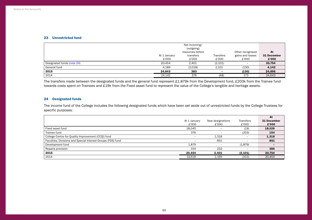### 23 Unrestricted fund

|                            | Net incoming/<br>(outgoing) |                                        |                    |                                               | At                   |
|----------------------------|-----------------------------|----------------------------------------|--------------------|-----------------------------------------------|----------------------|
|                            | At 1 January<br>£'000       | resources before<br>transfers<br>£'000 | Transfers<br>£'000 | Other recognised<br>gains and losses<br>£'000 | 31 December<br>£'000 |
| Designated funds (note 24) | 20.454                      | 2,401                                  | (2,101)            |                                               | 20,754               |
| General fund               | 4,189                       | (2,018)                                | 2,101              | (130)                                         | 4,142                |
| 2015                       | 24.643                      | 383                                    |                    | (130)                                         | 24,896               |
| 2014                       | 24,142                      | 376                                    | (48)               | 173                                           | 24,643               |

The transfers made between the designated funds and the general fund represent £1,879k from the Development fund, £203k from the Trainee fund towards costs spent on Trainees and £19k from the Fixed asset fund to represent the value of the College's tangible and heritage assets.

## <span id="page-61-0"></span>24 Designated funds

The income fund of the College includes the following designated funds which have been set aside out of unrestricted funds by the College Trustees for specific purposes:

|                                                             |                          |                          |                          | At          |
|-------------------------------------------------------------|--------------------------|--------------------------|--------------------------|-------------|
|                                                             | At 1 January             | New designations         | Transfers                | 31 December |
|                                                             | £'000                    | £'000                    | £'000                    | £'000       |
| Fixed asset fund                                            | 18.045                   | $\overline{\phantom{0}}$ | (19)                     | 18,026      |
| Trainee fund                                                | 376                      | -                        | (203)                    | 154         |
| College Centre for Quality Improvement (CCQI) fund          |                          | 1,318                    |                          | 1,318       |
| Faculties, Divisions and Special Interest Groups (FDS) fund | $\overline{\phantom{0}}$ | 851                      | $\overline{\phantom{0}}$ | 851         |
| Development fund                                            | 1,879                    |                          | (1,879)                  | -           |
| Repairs provision                                           | 154                      | 232                      | $\overline{\phantom{a}}$ | 386         |
| 2015                                                        | 20,454                   | 2,401                    | (2, 101)                 | 20,754      |
| 2014                                                        | 19,618                   | 1,169                    | (333)                    | 20,454      |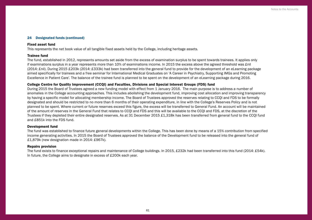## <span id="page-62-0"></span>24 Designated funds (continued)

### Fixed asset fund

This represents the net book value of all tangible fixed assets held by the College, including heritage assets.

### Trainee fund

The fund, established in 2012, represents amounts set aside from the excess of examination surplus to be spent towards trainees. It applies only if examinations surplus in a year represents more than 10% of examinations income. In 2015 the excess above the agreed threshold was £nil (2014: £nil). During 2015 £203k (2014: £333k) had been transferred into the general fund to provide for the development of an eLearning package aimed specifically for trainees and a free seminar for International Medical Graduates on 'A Career in Psychiatry, Supporting IMGs and Promoting Excellence in Patient Care'. The balance of the trainee fund is planned to be spent on the development of an eLearning package during 2016.

## College Centre for Quality Improvement (CCQI) and Faculties, Divisions and Special Interest Groups (FDS) fund

During 2015 the Board of Trustees agreed a new funding model with effect from 1 January 2016. The main purpose is to address a number of anomalies in the College accounting approaches. This includes abolishing the development fund, improving cost allocation and improving transparency by having a specific model for allocating membership income. The Board of Trustees approved the reserves relating to CCQI and FDS to be formally designated and should be restricted to no more than 6 months of their operating expenditure, in line with the College's Reserves Policy and is not planned to be spent. Where current or future reserves exceed this figure, the excess will be transferred to General Fund. An account will be maintained of the amount of reserves in the General Fund that relates to CCQI and FDS and this will be available to the CCQI and FDS, at the discretion of the Trustees if they depleted their entire designated reserves. As at 31 December 2015 £1,318k has been transferred from general fund to the CCQI fund and £851k into the FDS fund.

### Development fund

The fund was established to finance future general developments within the College. This has been done by means of a 15% contribution from specified income generating activities. In 2015 the Board of Trustees approved the balance of the Development fund to be released into the general fund of £1,879k (new designation made in 2014: £967k).

### Repairs provision

The fund exists to finance exceptional repairs and maintenance of College buildings. In 2015, £232k had been transferred into this fund (2014: £54k). In future, the College aims to designate in excess of £200k each year.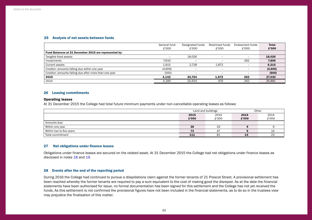### <span id="page-63-1"></span>25 Analysis of net assets between funds

|                                                        | General fund | Designated funds         | Restricted funds         | Endowment funds          | <b>Total</b> |
|--------------------------------------------------------|--------------|--------------------------|--------------------------|--------------------------|--------------|
|                                                        | £'000        | £'000                    | £'000                    | £'000                    | £'000        |
| Fund Balances at 31 December 2015 are represented by:  |              |                          |                          |                          |              |
| Tangible fixed assets                                  | $-$          | 18.026                   | $\overline{\phantom{0}}$ | $\overline{\phantom{0}}$ | 18,026       |
| Investments                                            | 7.633        | -                        | -                        | 262                      | 7,895        |
| Current assets                                         | 1,615        | 2.728                    | 1,872                    | $\overline{\phantom{0}}$ | 6,215        |
| Creditor: amounts falling due within one year          | (4,606)      |                          | -                        | $\overline{\phantom{0}}$ | (4,606)      |
| Creditor: amounts falling due after more than one year | (500)        | $\overline{\phantom{m}}$ | -                        | $\overline{\phantom{0}}$ | (500)        |
| 2015                                                   | 4.142        | 20.754                   | 1,872                    | 262                      | 27,030       |
| 2014                                                   | 4,189        | 20.454                   | 976                      | 262                      | 25,881       |

### 26 Leasing commitments

## Operating leases

At 31 December 2015 the College had total future minimum payments under non-cancellable operating leases as follows:

|                          | Land and buildings |       | Other |              |
|--------------------------|--------------------|-------|-------|--------------|
|                          | 2015               | 2014  | 2015  | 2014         |
|                          | £'000              | £'000 | £'000 | £'000        |
| Amounts due:             |                    |       |       |              |
| Within one year          | 38                 | 33    |       |              |
| Within two to five years | 73                 | 47    |       | 14           |
| Total commitment         | 111                | 81    | 14    | $\cap$<br>دے |

### 27 Net obligations under finance leases

Obligations under finance leases are secured on the related asset. At 31 December 2015 the College had net obligations under finance leases as disclosed in notes [18](#page-56-0) and [19.](#page-57-0)

### <span id="page-63-0"></span>28 Events after the end of the reporting period

During 2016 the College had continued to pursue a dilapidations claim against the former tenants of 21 Prescot Street. A provisional settlement has been reached whereby the former tenants are required to pay a sum equivalent to the cost of making good the disrepair. As at the date the financial statements have been authorised for issue, no formal documentation has been signed for this settlement and the College has not yet received the funds. As this settlement is not confirmed the provisional figures have not been included in the financial statements, as to do so in the trustees view may prejudice the finalisation of this matter.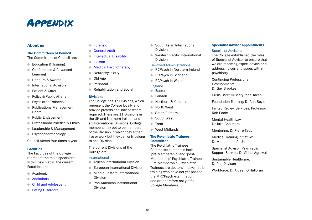## <span id="page-64-0"></span>**APPENDIX**

## About us

## The Committees of Council

The Committees of Council are:

- Education & Training
- **Conferences & Advanced** Learning
- **In** Honours & Awards
- **International Advisory**
- Patient & Carer
- Policy & Public Affairs
- **Psychiatric Trainees**
- Publications Management Board
- Public Engagement
- **Professional Practice & Ethics**
- Leadership & Management
- **•** Psychopharmacology

Council meets four times a year.

## Faculties

The Faculties of the College represent the main specialties within psychiatry. The current Faculties are:

- **Academic**
- **[Addictions](http://www.rcpsych.ac.uk/workinpsychiatry/faculties/addictions.aspx)**
- **[Child and Adolescent](http://www.rcpsych.ac.uk/workinpsychiatry/faculties/childandadolescent.aspx)**
- [Eating Disorders](http://www.rcpsych.ac.uk/workinpsychiatry/faculties/eatingdisorders.aspx)
- [Forensic](http://www.rcpsych.ac.uk/workinpsychiatry/faculties/forensic.aspx)
- **[General Adult](http://www.rcpsych.ac.uk/workinpsychiatry/faculties/generaladultpsychiatry.aspx)**
- **[Intellectual Disability](http://www.rcpsych.ac.uk/workinpsychiatry/faculties/intellectualdisability.aspx)**
- [Liaison](http://www.rcpsych.ac.uk/workinpsychiatry/faculties/liaison.aspx)
- **[Medical Psychotherapy](http://www.rcpsych.ac.uk/workinpsychiatry/faculties/medicalpsychotherapy.aspx)**
- Neuropsychiatry
- Old Age
- **Perinatal**
- **Rehabilitation and Social**

## **Divisions**

The College has 17 Divisions, which represent the College locally and provide professional advice where required. There are 11 Divisions in the UK and Northern Ireland, and six International Divisions. College members may opt to be members of the Division in which they either live or work but they can only belong to one Division.

The current Divisions of the College are:

## International

- **African International Division**
- **European International Division**
- **Middle Eastern International** Division
- **Pan-American International** Division
- South Asian International Division
- Western Pacific International Division

## Devolved Administrations

- **RCPsych in Northern Ireland**
- RCPsych in Scotland
- RCPsych in Wales

## England

- **C** Eastern
- l London
- **Northern & Yorkshire**
- **In North West**
- **Couth Eastern**
- South West
- **n** Trent
- **West Midlands**

## The Psychiatric Trainees' **Committee**

The Psychiatric Trainees' Committee comprises both 'pre-Membership' and 'post-Membership' Psychiatric Trainees. 'Pre-Membership' Psychiatric Trainees are doctors in psychiatric training who have not yet passed the MRCPsych examination and are therefore not yet full College Members.

## Specialist Advisor appointments

## Specialist Advisors

The College established the roles of Specialist Advisor to ensure that we are receiving expert advice and addressing current issues within psychiatry.

Continuing Professional Development: Dr Guy Brookes

Crisis Care: Dr Mary Jane Tacchi

Foundation Training: Dr Ann Boyle

Invited Review Services: Professor Rob Poole

Mental Health Law: Dr Julie Chalmers

Mentoring: Dr Pierre Taub

Medical Training Initiative: Dr Mohammed Al-Uzri

Specialist Advisor, Psychiatric Support Service: Dr Vishal Agrawal

Sustainable Healthcare: Dr Phil Davison

Workforce: Dr Aideen O'Halloran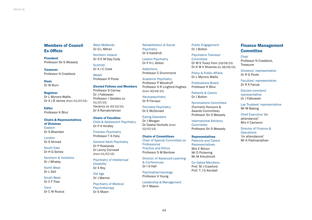## Members of Council Ex-Officio

President Professor Sir S Wessely

**Treasurer** Professor N Craddock

Dean Dr W Burn

Registrar Dr L Mynors-Wallis Dr A J B James (from 01/07/15)

Editor Professor K Bhui

#### Chairs & Representatives of Divisions

Eastern Dr S Bhandari

London Dr S Ahmad

South East Dr H G Series

Northern & Yorkshire Dr J Whaley

North West Dr L Sell

South West Dr C F Fear

**Trent** Dr C W Rusius West Midlands Dr G L Milner Northern Ireland

Dr D E M Day-Cody **Scottish** Dr A J C Cook

Welsh Professor R Poole

## Elected Fellows and Members

Professor S Carney Dr J Falkowski Professor J Geddes (to 01/07/15) Vacancy (to 30/10/15) Dr A Ramakrishnan

### Chairs of Faculties Child & Adolescent Psychiatry Dr P A Hindley

Forensic Psychiatry Professor T A Fahy

General Adult Psychiatry Dr P Rowlands Dr Lenny Cornwall (from 01/07/15)

Psychiatry of Intellectual **Disability** Dr A Roy

Old Age Dr J Warner

Psychiatry of Medical Psychotherapy Dr S Mizen

Rehabilitation & Social **Psychiatry** Dr S Kalidindi

Liaison Psychiatry Dr P H L Aitken

Addictions Professor C Drummond

Academic Psychiatry Professor P Woodruff Professor A R Lingford-Hughes (from 30/04/15)

Neuropsychiatry Dr R Faruqui

Perinatal Psychiatry Dr E McDonald

Eating Disorders Dr J Morgan Dr Dasha Nicholls (from 02/07/15)

### Chairs of Committees

Chair of Special Committee on Professional Practice and Ethics Professor S M Benbow

Director of Advanced Learning & Conferences Dr I S Hall

Psychopharmacology Professor A Young

Leadership & Management Dr F Mason

Public Engagement Dr J Bolton

Psychiatric Trainees' **Committee** Dr M S Tovey from (29/09/15) Dr K W V Sheeres (to 28/09/15)

Policy & Public Affairs Dr L Mynors Wallis

Publications Board Professor K Bhui

Patients & Carers Dr J Bolton

Nominations Committee (Formerly Honours & Awards Committee) Professor Sir S Wessely

International Advisory **Committee** Professor Sir S Wessely

Representatives

Patients and Carers **Representatives** Mrs E Bitcon Mr D Pickering Mr M Arbuthnott

Co-Opted Members Prof. M J Crawford Prof. T J G Kendall

Finance Management **Committee** 

Chair Professor N Craddock, Treasurer

Divisions' representative Dr R G Poole

Faculties' representative Dr R A Faruqi

Elected members' representative Dr J Falkowski

Lay Trustees' representative Mr M Basing

Chief Executive '(in attendance)' Mrs V Cameron

Director of Finance & **Operations** '(in attendance)' Mr K Padmanathan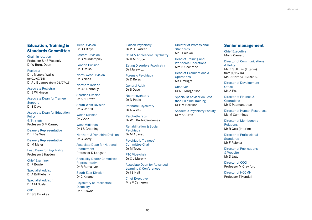Education, Training & Standards Committee

Chair, in rotation Professor Sir S Wessely Dr W Burn, Dean

#### Registrar

Dr L Mynors-Wallis (to 01/07/15) Dr A J B James (from 01/07/15)

Associate Registrar Dr E Wilkinson

Associate Dean for Trainee **Support** Dr S Dave

Associate Dean for Education **Policy** & Strategy Professor S M Carney

Deanery Representative Dr H De Waal

Deanery Representative Dr M Maier

Lead Dean for Psychiatry Professor J Hayden

Chief Examiner Dr P Bowie

Specialist Advisor Dr A Brittlebank

Specialist Advisor Dr A M Boyle

CPD Dr G S Brookes Trent Division Dr D J Blove

Eastern Division Dr G Mundempilly

London Division Dr D Reiss

North West Division Dr G Ness

Northern Ireland Dr C S Donnelly

Scottish Division Dr S H Brown

South West Division Dr G Undrill

Welsh Division Dr V Aziz

West Midlands Dr J S Greening

Northern & Yorkshire Division Dr G Garry

Associate Dean for National Recruitment Professor D Longson

Speciality Doctor Committee Representative Dr R Rama Iyer

South East Division Dr C Kinane

Psychiatry of Intellectual **Disability** Dr A Biswas

Liaison Psychiatry Dr P H L Aitken

Child & Adolescent Psychiatry Dr H M Bruce

Eating Disorders Psychiatry Dr I Jurewicz

Forensic Psychiatry Dr D Reiss

General Adult Dr S Dave

Neuropsychiatry Dr N Poole

Perinatal Psychiatry Dr A Wieck

**Psychotherapy** Dr W L Burbridge-James

Rehabilitation & Social **Psychiatry** Dr M A Javad

Psychiatric Trainees' Committee Chair Dr M Tovey

PTC Vice-chair Dr C L Murphy

Associate Dean for Advanced Learning & Conferences Dr I S Hall

Chief Executive Mrs V Cameron Director of Professional **Standards** Mr F Palekar

Head of Training and Workforce Operations Mrs N Cochrane

Head of Examinations & **Operations** Ms D Wright

**Observer** Dr N J Margerison

Specialist Advisor on Less than Fulltime Training Dr F M Harrison

Academic Psychiatry Faculty Dr V A Curtis

## Senior management

Chief Executive Mrs V Cameron

Director of Communications

& Policy Ms K Stillman (Interim) from (1/10/15) Ms D Hart (to 30/09/15)

Director of Development **Office** Ms A Paul

Director of Finance & **Operations** Mr K Padmanathan

Director of Human Resources Ms M Cummings

Director of Membership Relations Mr R Gott (Interim)

Director of Professional **Standards** Mr F Palekar

Director of Publications & Website Mr D Jago

Director of CCQI Professor M Crawford

Director of NCCMH Professor T Kendall